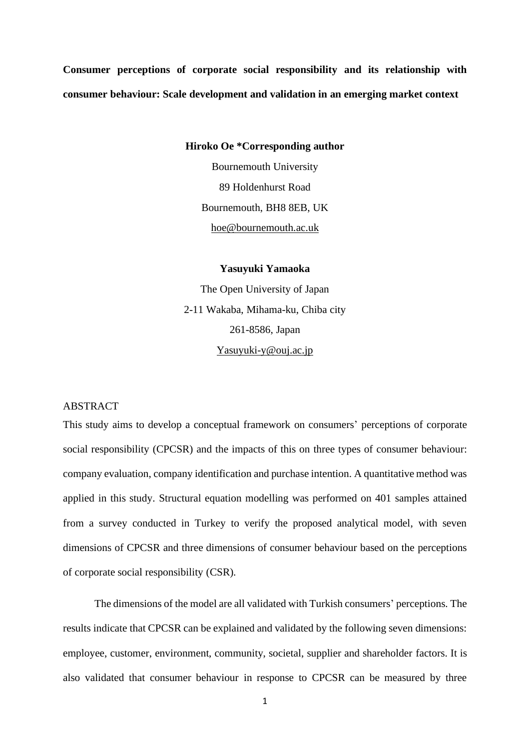**Consumer perceptions of corporate social responsibility and its relationship with consumer behaviour: Scale development and validation in an emerging market context**

**Hiroko Oe \*Corresponding author**

Bournemouth University 89 Holdenhurst Road Bournemouth, BH8 8EB, UK [hoe@bournemouth.ac.uk](mailto:hoe@bournemouth.ac.uk)

**Yasuyuki Yamaoka** The Open University of Japan 2-11 Wakaba, Mihama-ku, Chiba city

261-8586, Japan

[Yasuyuki-y@ouj.ac.jp](mailto:Yasuyuki-y@ouj.ac.jp)

# **ABSTRACT**

This study aims to develop a conceptual framework on consumers' perceptions of corporate social responsibility (CPCSR) and the impacts of this on three types of consumer behaviour: company evaluation, company identification and purchase intention. A quantitative method was applied in this study. Structural equation modelling was performed on 401 samples attained from a survey conducted in Turkey to verify the proposed analytical model, with seven dimensions of CPCSR and three dimensions of consumer behaviour based on the perceptions of corporate social responsibility (CSR).

The dimensions of the model are all validated with Turkish consumers' perceptions. The results indicate that CPCSR can be explained and validated by the following seven dimensions: employee, customer, environment, community, societal, supplier and shareholder factors. It is also validated that consumer behaviour in response to CPCSR can be measured by three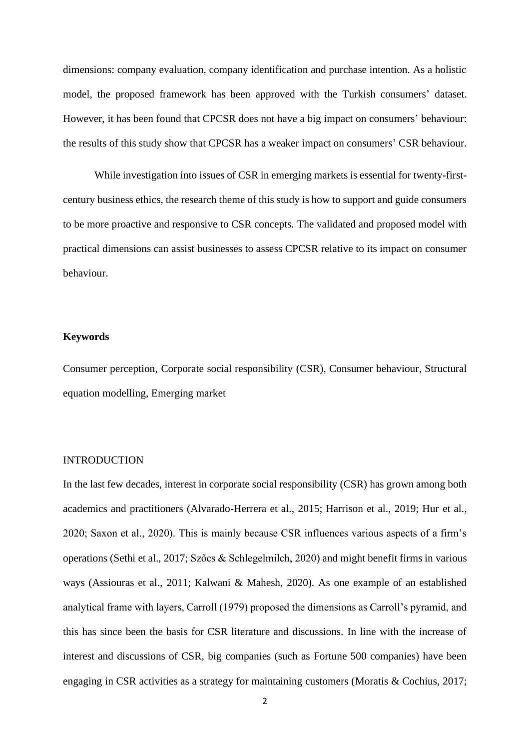dimensions: company evaluation, company identification and purchase intention. As a holistic model, the proposed framework has been approved with the Turkish consumers' dataset. However, it has been found that CPCSR does not have a big impact on consumers' behaviour: the results of this study show that CPCSR has a weaker impact on consumers' CSR behaviour.

While investigation into issues of CSR in emerging markets is essential for twenty-firstcentury business ethics, the research theme of this study is how to support and guide consumers to be more proactive and responsive to CSR concepts. The validated and proposed model with practical dimensions can assist businesses to assess CPCSR relative to its impact on consumer behaviour.

# **Keywords**

Consumer perception, Corporate social responsibility (CSR), Consumer behaviour, Structural equation modelling, Emerging market

## INTRODUCTION

In the last few decades, interest in corporate social responsibility (CSR) has grown among both academics and practitioners (Alvarado-Herrera et al., 2015; Harrison et al., 2019; Hur et al., 2020; Saxon et al., 2020). This is mainly because CSR influences various aspects of a firm's operations (Sethi et al., 2017; Szőcs & Schlegelmilch, 2020) and might benefit firms in various ways (Assiouras et al., 2011; Kalwani & Mahesh, 2020). As one example of an established analytical frame with layers, Carroll (1979) proposed the dimensions as Carroll's pyramid, and this has since been the basis for CSR literature and discussions. In line with the increase of interest and discussions of CSR, big companies (such as Fortune 500 companies) have been engaging in CSR activities as a strategy for maintaining customers (Moratis & Cochius, 2017;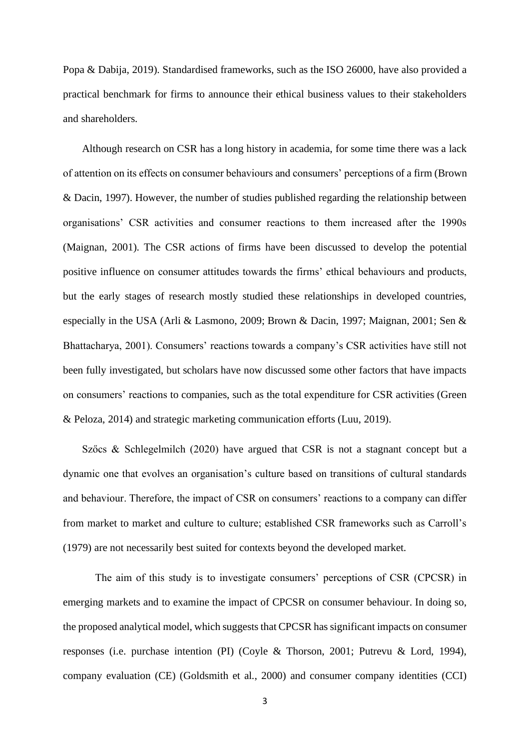Popa & Dabija, 2019). Standardised frameworks, such as the ISO 26000, have also provided a practical benchmark for firms to announce their ethical business values to their stakeholders and shareholders.

Although research on CSR has a long history in academia, for some time there was a lack of attention on its effects on consumer behaviours and consumers' perceptions of a firm (Brown & Dacin, 1997). However, the number of studies published regarding the relationship between organisations' CSR activities and consumer reactions to them increased after the 1990s (Maignan, 2001). The CSR actions of firms have been discussed to develop the potential positive influence on consumer attitudes towards the firms' ethical behaviours and products, but the early stages of research mostly studied these relationships in developed countries, especially in the USA (Arli & Lasmono, 2009; Brown & Dacin, 1997; Maignan, 2001; Sen & Bhattacharya, 2001). Consumers' reactions towards a company's CSR activities have still not been fully investigated, but scholars have now discussed some other factors that have impacts on consumers' reactions to companies, such as the total expenditure for CSR activities (Green & Peloza, 2014) and strategic marketing communication efforts (Luu, 2019).

Szőcs & Schlegelmilch (2020) have argued that CSR is not a stagnant concept but a dynamic one that evolves an organisation's culture based on transitions of cultural standards and behaviour. Therefore, the impact of CSR on consumers' reactions to a company can differ from market to market and culture to culture; established CSR frameworks such as Carroll's (1979) are not necessarily best suited for contexts beyond the developed market.

The aim of this study is to investigate consumers' perceptions of CSR (CPCSR) in emerging markets and to examine the impact of CPCSR on consumer behaviour. In doing so, the proposed analytical model, which suggests that CPCSR has significant impacts on consumer responses (i.e. purchase intention (PI) (Coyle & Thorson, 2001; Putrevu & Lord, 1994), company evaluation (CE) (Goldsmith et al., 2000) and consumer company identities (CCI)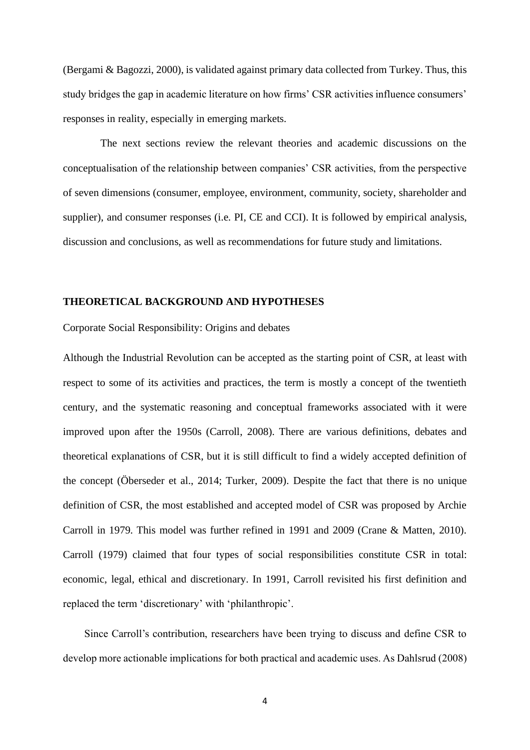(Bergami & Bagozzi, 2000), is validated against primary data collected from Turkey. Thus, this study bridges the gap in academic literature on how firms' CSR activities influence consumers' responses in reality, especially in emerging markets.

The next sections review the relevant theories and academic discussions on the conceptualisation of the relationship between companies' CSR activities, from the perspective of seven dimensions (consumer, employee, environment, community, society, shareholder and supplier), and consumer responses (i.e. PI, CE and CCI). It is followed by empirical analysis, discussion and conclusions, as well as recommendations for future study and limitations.

# **THEORETICAL BACKGROUND AND HYPOTHESES**

Corporate Social Responsibility: Origins and debates

Although the Industrial Revolution can be accepted as the starting point of CSR, at least with respect to some of its activities and practices, the term is mostly a concept of the twentieth century, and the systematic reasoning and conceptual frameworks associated with it were improved upon after the 1950s (Carroll, 2008). There are various definitions, debates and theoretical explanations of CSR, but it is still difficult to find a widely accepted definition of the concept (Öberseder et al., 2014; Turker, 2009). Despite the fact that there is no unique definition of CSR, the most established and accepted model of CSR was proposed by Archie Carroll in 1979. This model was further refined in 1991 and 2009 (Crane & Matten, 2010). Carroll (1979) claimed that four types of social responsibilities constitute CSR in total: economic, legal, ethical and discretionary. In 1991, Carroll revisited his first definition and replaced the term 'discretionary' with 'philanthropic'.

Since Carroll's contribution, researchers have been trying to discuss and define CSR to develop more actionable implications for both practical and academic uses. As Dahlsrud (2008)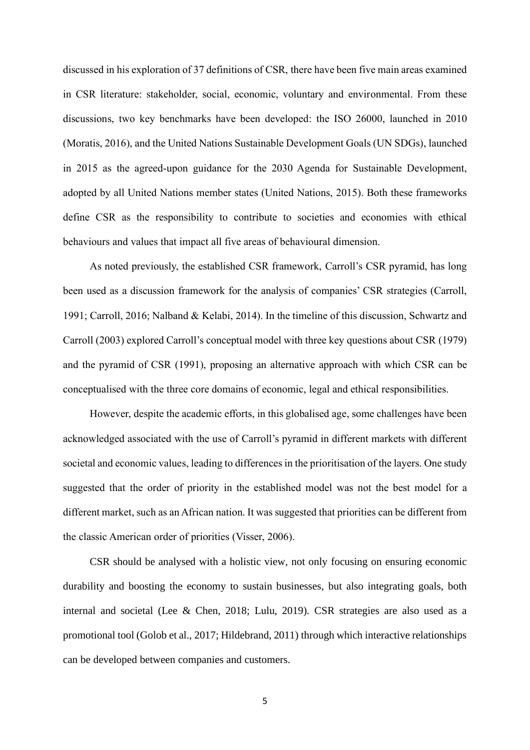discussed in his exploration of 37 definitions of CSR, there have been five main areas examined in CSR literature: stakeholder, social, economic, voluntary and environmental. From these discussions, two key benchmarks have been developed: the ISO 26000, launched in 2010 (Moratis, 2016), and the United Nations Sustainable Development Goals (UN SDGs), launched in 2015 as the agreed-upon guidance for the 2030 Agenda for Sustainable Development, adopted by all United Nations member states (United Nations, 2015). Both these frameworks define CSR as the responsibility to contribute to societies and economies with ethical behaviours and values that impact all five areas of behavioural dimension.

As noted previously, the established CSR framework, Carroll's CSR pyramid, has long been used as a discussion framework for the analysis of companies' CSR strategies (Carroll, 1991; Carroll, 2016; Nalband & Kelabi, 2014). In the timeline of this discussion, Schwartz and Carroll (2003) explored Carroll's conceptual model with three key questions about CSR (1979) and the pyramid of CSR (1991), proposing an alternative approach with which CSR can be conceptualised with the three core domains of economic, legal and ethical responsibilities.

However, despite the academic efforts, in this globalised age, some challenges have been acknowledged associated with the use of Carroll's pyramid in different markets with different societal and economic values, leading to differences in the prioritisation of the layers. One study suggested that the order of priority in the established model was not the best model for a different market, such as an African nation. It was suggested that priorities can be different from the classic American order of priorities (Visser, 2006).

CSR should be analysed with a holistic view, not only focusing on ensuring economic durability and boosting the economy to sustain businesses, but also integrating goals, both internal and societal (Lee & Chen, 2018; Lulu, 2019). CSR strategies are also used as a promotional tool (Golob et al., 2017; Hildebrand, 2011) through which interactive relationships can be developed between companies and customers.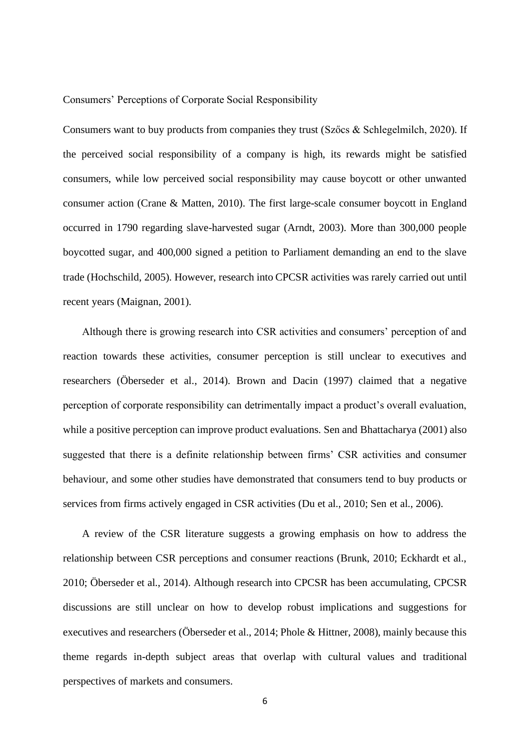### Consumers' Perceptions of Corporate Social Responsibility

Consumers want to buy products from companies they trust (Szőcs & Schlegelmilch, 2020). If the perceived social responsibility of a company is high, its rewards might be satisfied consumers, while low perceived social responsibility may cause boycott or other unwanted consumer action (Crane & Matten, 2010). The first large-scale consumer boycott in England occurred in 1790 regarding slave-harvested sugar (Arndt, 2003). More than 300,000 people boycotted sugar, and 400,000 signed a petition to Parliament demanding an end to the slave trade (Hochschild, 2005). However, research into CPCSR activities was rarely carried out until recent years (Maignan, 2001).

Although there is growing research into CSR activities and consumers' perception of and reaction towards these activities, consumer perception is still unclear to executives and researchers (Öberseder et al., 2014). Brown and Dacin (1997) claimed that a negative perception of corporate responsibility can detrimentally impact a product's overall evaluation, while a positive perception can improve product evaluations. Sen and Bhattacharya (2001) also suggested that there is a definite relationship between firms' CSR activities and consumer behaviour, and some other studies have demonstrated that consumers tend to buy products or services from firms actively engaged in CSR activities (Du et al., 2010; Sen et al., 2006).

A review of the CSR literature suggests a growing emphasis on how to address the relationship between CSR perceptions and consumer reactions (Brunk, 2010; Eckhardt et al., 2010; Öberseder et al., 2014). Although research into CPCSR has been accumulating, CPCSR discussions are still unclear on how to develop robust implications and suggestions for executives and researchers (Öberseder et al., 2014; Phole & Hittner, 2008), mainly because this theme regards in-depth subject areas that overlap with cultural values and traditional perspectives of markets and consumers.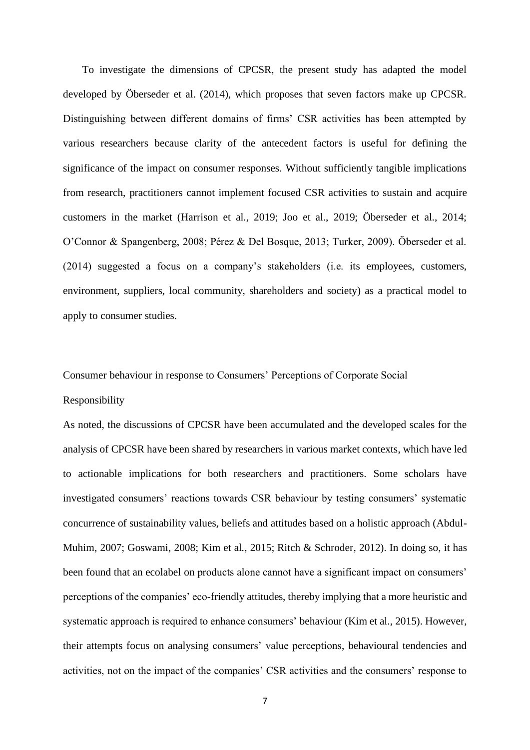To investigate the dimensions of CPCSR, the present study has adapted the model developed by Öberseder et al. (2014), which proposes that seven factors make up CPCSR. Distinguishing between different domains of firms' CSR activities has been attempted by various researchers because clarity of the antecedent factors is useful for defining the significance of the impact on consumer responses. Without sufficiently tangible implications from research, practitioners cannot implement focused CSR activities to sustain and acquire customers in the market (Harrison et al., 2019; Joo et al., 2019; Öberseder et al., 2014; O'Connor & Spangenberg, 2008; Pérez & Del Bosque, 2013; Turker, 2009). Öberseder et al. (2014) suggested a focus on a company's stakeholders (i.e. its employees, customers, environment, suppliers, local community, shareholders and society) as a practical model to apply to consumer studies.

Consumer behaviour in response to Consumers' Perceptions of Corporate Social Responsibility

As noted, the discussions of CPCSR have been accumulated and the developed scales for the analysis of CPCSR have been shared by researchers in various market contexts, which have led to actionable implications for both researchers and practitioners. Some scholars have investigated consumers' reactions towards CSR behaviour by testing consumers' systematic concurrence of sustainability values, beliefs and attitudes based on a holistic approach (Abdul-Muhim, 2007; Goswami, 2008; Kim et al., 2015; Ritch & Schroder, 2012). In doing so, it has been found that an ecolabel on products alone cannot have a significant impact on consumers' perceptions of the companies' eco-friendly attitudes, thereby implying that a more heuristic and systematic approach is required to enhance consumers' behaviour (Kim et al., 2015). However, their attempts focus on analysing consumers' value perceptions, behavioural tendencies and activities, not on the impact of the companies' CSR activities and the consumers' response to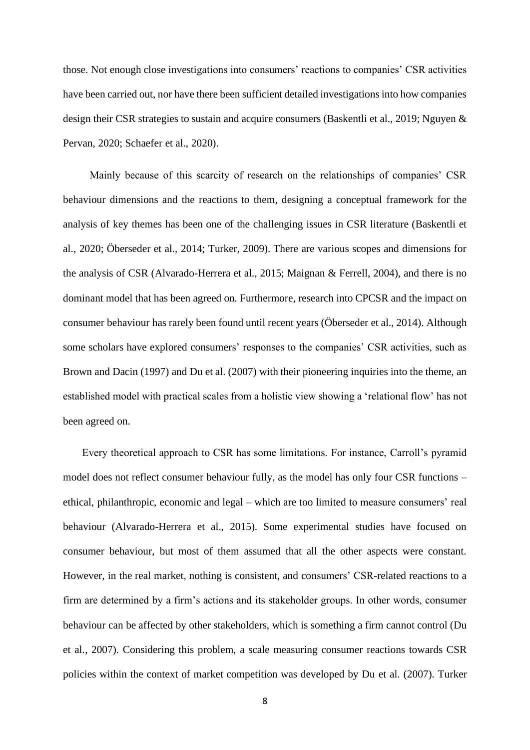those. Not enough close investigations into consumers' reactions to companies' CSR activities have been carried out, nor have there been sufficient detailed investigations into how companies design their CSR strategies to sustain and acquire consumers (Baskentli et al., 2019; Nguyen & Pervan, 2020; Schaefer et al., 2020).

Mainly because of this scarcity of research on the relationships of companies' CSR behaviour dimensions and the reactions to them, designing a conceptual framework for the analysis of key themes has been one of the challenging issues in CSR literature (Baskentli et al., 2020; Öberseder et al., 2014; Turker, 2009). There are various scopes and dimensions for the analysis of CSR (Alvarado-Herrera et al., 2015; Maignan & Ferrell, 2004), and there is no dominant model that has been agreed on. Furthermore, research into CPCSR and the impact on consumer behaviour has rarely been found until recent years (Öberseder et al., 2014). Although some scholars have explored consumers' responses to the companies' CSR activities, such as Brown and Dacin (1997) and Du et al. (2007) with their pioneering inquiries into the theme, an established model with practical scales from a holistic view showing a 'relational flow' has not been agreed on.

Every theoretical approach to CSR has some limitations. For instance, Carroll's pyramid model does not reflect consumer behaviour fully, as the model has only four CSR functions – ethical, philanthropic, economic and legal – which are too limited to measure consumers' real behaviour (Alvarado-Herrera et al., 2015). Some experimental studies have focused on consumer behaviour, but most of them assumed that all the other aspects were constant. However, in the real market, nothing is consistent, and consumers' CSR-related reactions to a firm are determined by a firm's actions and its stakeholder groups. In other words, consumer behaviour can be affected by other stakeholders, which is something a firm cannot control (Du et al., 2007). Considering this problem, a scale measuring consumer reactions towards CSR policies within the context of market competition was developed by Du et al. (2007). Turker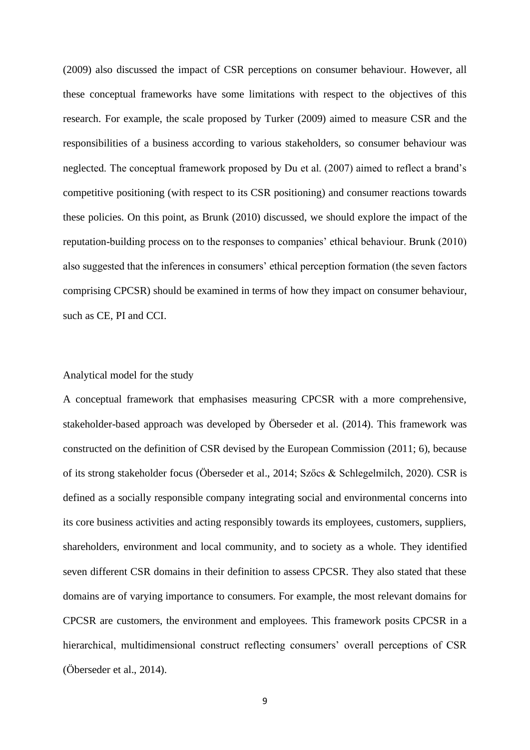(2009) also discussed the impact of CSR perceptions on consumer behaviour. However, all these conceptual frameworks have some limitations with respect to the objectives of this research. For example, the scale proposed by Turker (2009) aimed to measure CSR and the responsibilities of a business according to various stakeholders, so consumer behaviour was neglected. The conceptual framework proposed by Du et al. (2007) aimed to reflect a brand's competitive positioning (with respect to its CSR positioning) and consumer reactions towards these policies. On this point, as Brunk (2010) discussed, we should explore the impact of the reputation-building process on to the responses to companies' ethical behaviour. Brunk (2010) also suggested that the inferences in consumers' ethical perception formation (the seven factors comprising CPCSR) should be examined in terms of how they impact on consumer behaviour, such as CE, PI and CCI.

# Analytical model for the study

A conceptual framework that emphasises measuring CPCSR with a more comprehensive, stakeholder-based approach was developed by Öberseder et al. (2014). This framework was constructed on the definition of CSR devised by the European Commission (2011; 6), because of its strong stakeholder focus (Öberseder et al., 2014; Szőcs & Schlegelmilch, 2020). CSR is defined as a socially responsible company integrating social and environmental concerns into its core business activities and acting responsibly towards its employees, customers, suppliers, shareholders, environment and local community, and to society as a whole. They identified seven different CSR domains in their definition to assess CPCSR. They also stated that these domains are of varying importance to consumers. For example, the most relevant domains for CPCSR are customers, the environment and employees. This framework posits CPCSR in a hierarchical, multidimensional construct reflecting consumers' overall perceptions of CSR (Öberseder et al., 2014).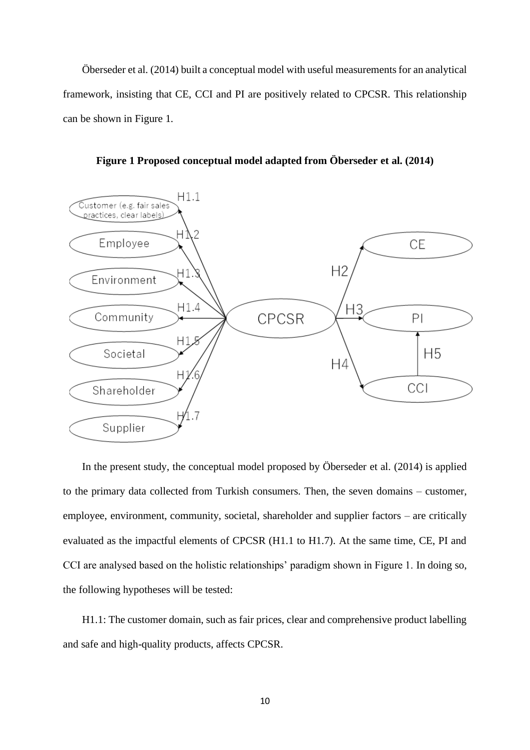Öberseder et al. (2014) built a conceptual model with useful measurements for an analytical framework, insisting that CE, CCI and PI are positively related to CPCSR. This relationship can be shown in Figure 1.



**Figure 1 Proposed conceptual model adapted from Öberseder et al. (2014)**

In the present study, the conceptual model proposed by Öberseder et al. (2014) is applied to the primary data collected from Turkish consumers. Then, the seven domains – customer, employee, environment, community, societal, shareholder and supplier factors – are critically evaluated as the impactful elements of CPCSR (H1.1 to H1.7). At the same time, CE, PI and CCI are analysed based on the holistic relationships' paradigm shown in Figure 1. In doing so, the following hypotheses will be tested:

H1.1: The customer domain, such as fair prices, clear and comprehensive product labelling and safe and high-quality products, affects CPCSR.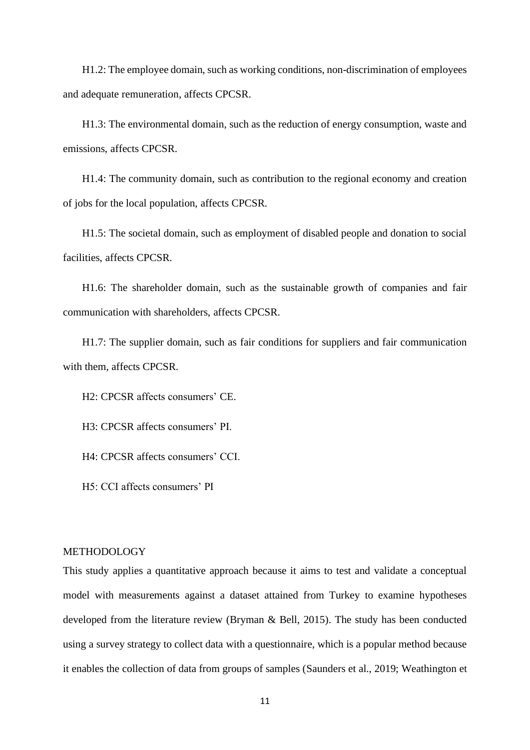H1.2: The employee domain, such as working conditions, non-discrimination of employees and adequate remuneration, affects CPCSR.

H1.3: The environmental domain, such as the reduction of energy consumption, waste and emissions, affects CPCSR.

H1.4: The community domain, such as contribution to the regional economy and creation of jobs for the local population, affects CPCSR.

H1.5: The societal domain, such as employment of disabled people and donation to social facilities, affects CPCSR.

H1.6: The shareholder domain, such as the sustainable growth of companies and fair communication with shareholders, affects CPCSR.

H1.7: The supplier domain, such as fair conditions for suppliers and fair communication with them, affects CPCSR.

H2: CPCSR affects consumers' CE.

H3: CPCSR affects consumers' PI.

H4: CPCSR affects consumers' CCI.

H5: CCI affects consumers' PI

# METHODOLOGY

This study applies a quantitative approach because it aims to test and validate a conceptual model with measurements against a dataset attained from Turkey to examine hypotheses developed from the literature review (Bryman & Bell, 2015). The study has been conducted using a survey strategy to collect data with a questionnaire, which is a popular method because it enables the collection of data from groups of samples (Saunders et al., 2019; Weathington et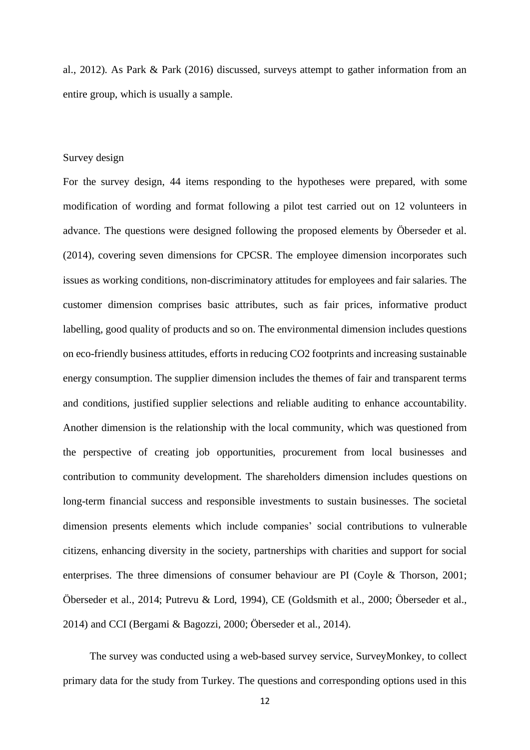al., 2012). As Park & Park (2016) discussed, surveys attempt to gather information from an entire group, which is usually a sample.

# Survey design

For the survey design, 44 items responding to the hypotheses were prepared, with some modification of wording and format following a pilot test carried out on 12 volunteers in advance. The questions were designed following the proposed elements by Öberseder et al. (2014), covering seven dimensions for CPCSR. The employee dimension incorporates such issues as working conditions, non-discriminatory attitudes for employees and fair salaries. The customer dimension comprises basic attributes, such as fair prices, informative product labelling, good quality of products and so on. The environmental dimension includes questions on eco-friendly business attitudes, efforts in reducing CO2 footprints and increasing sustainable energy consumption. The supplier dimension includes the themes of fair and transparent terms and conditions, justified supplier selections and reliable auditing to enhance accountability. Another dimension is the relationship with the local community, which was questioned from the perspective of creating job opportunities, procurement from local businesses and contribution to community development. The shareholders dimension includes questions on long-term financial success and responsible investments to sustain businesses. The societal dimension presents elements which include companies' social contributions to vulnerable citizens, enhancing diversity in the society, partnerships with charities and support for social enterprises. The three dimensions of consumer behaviour are PI (Coyle & Thorson, 2001; Öberseder et al., 2014; Putrevu & Lord, 1994), CE (Goldsmith et al., 2000; Öberseder et al., 2014) and CCI (Bergami & Bagozzi, 2000; Öberseder et al., 2014).

The survey was conducted using a web-based survey service, SurveyMonkey, to collect primary data for the study from Turkey. The questions and corresponding options used in this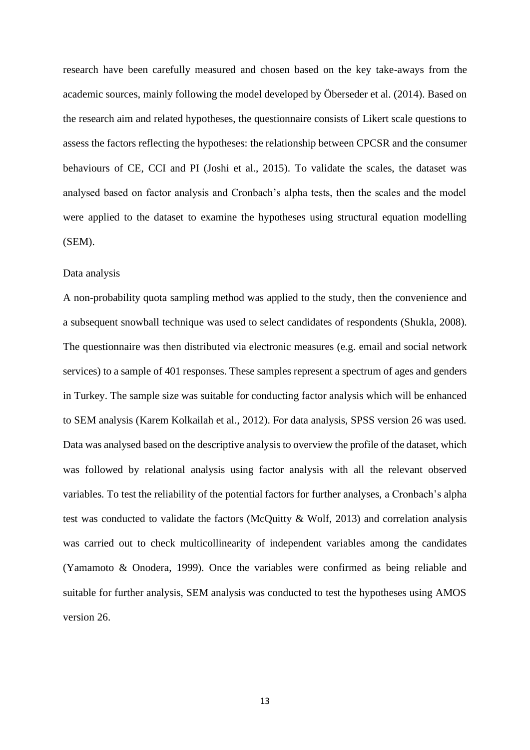research have been carefully measured and chosen based on the key take-aways from the academic sources, mainly following the model developed by Öberseder et al. (2014). Based on the research aim and related hypotheses, the questionnaire consists of Likert scale questions to assess the factors reflecting the hypotheses: the relationship between CPCSR and the consumer behaviours of CE, CCI and PI (Joshi et al., 2015). To validate the scales, the dataset was analysed based on factor analysis and Cronbach's alpha tests, then the scales and the model were applied to the dataset to examine the hypotheses using structural equation modelling (SEM).

#### Data analysis

A non-probability quota sampling method was applied to the study, then the convenience and a subsequent snowball technique was used to select candidates of respondents (Shukla, 2008). The questionnaire was then distributed via electronic measures (e.g. email and social network services) to a sample of 401 responses. These samples represent a spectrum of ages and genders in Turkey. The sample size was suitable for conducting factor analysis which will be enhanced to SEM analysis (Karem Kolkailah et al., 2012). For data analysis, SPSS version 26 was used. Data was analysed based on the descriptive analysis to overview the profile of the dataset, which was followed by relational analysis using factor analysis with all the relevant observed variables. To test the reliability of the potential factors for further analyses, a Cronbach's alpha test was conducted to validate the factors (McQuitty & Wolf, 2013) and correlation analysis was carried out to check multicollinearity of independent variables among the candidates (Yamamoto & Onodera, 1999). Once the variables were confirmed as being reliable and suitable for further analysis, SEM analysis was conducted to test the hypotheses using AMOS version 26.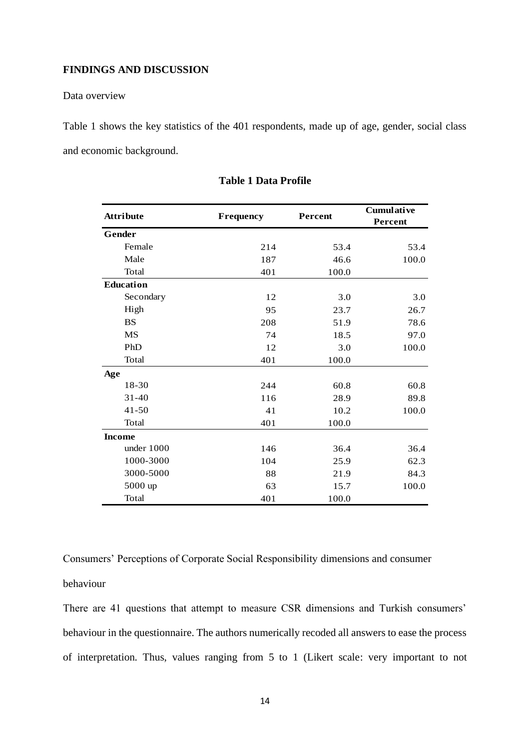# **FINDINGS AND DISCUSSION**

# Data overview

Table 1 shows the key statistics of the 401 respondents, made up of age, gender, social class and economic background.

| <b>Attribute</b> | Frequency | Percent | Cumulative<br>Percent |  |
|------------------|-----------|---------|-----------------------|--|
| Gender           |           |         |                       |  |
| Female           | 214       | 53.4    | 53.4                  |  |
| Male             | 187       | 46.6    | 100.0                 |  |
| Total            | 401       | 100.0   |                       |  |
| <b>Education</b> |           |         |                       |  |
| Secondary        | 12        | 3.0     | 3.0                   |  |
| High             | 95        | 23.7    | 26.7                  |  |
| <b>BS</b>        | 208       | 51.9    | 78.6                  |  |
| <b>MS</b>        | 74        | 18.5    | 97.0                  |  |
| PhD              | 12        | 3.0     | 100.0                 |  |
| Total            | 401       | 100.0   |                       |  |
| Age              |           |         |                       |  |
| 18-30            | 244       | 60.8    | 60.8                  |  |
| $31 - 40$        | 116       | 28.9    | 89.8                  |  |
| $41 - 50$        | 41        | 10.2    | 100.0                 |  |
| Total            | 401       | 100.0   |                       |  |
| <b>Income</b>    |           |         |                       |  |
| under 1000       | 146       | 36.4    | 36.4                  |  |
| 1000-3000        | 104       | 25.9    | 62.3                  |  |
| 3000-5000        | 88        | 21.9    | 84.3                  |  |
| 5000 up          | 63        | 15.7    | 100.0                 |  |
| Total            | 401       | 100.0   |                       |  |

## **Table 1 Data Profile**

Consumers' Perceptions of Corporate Social Responsibility dimensions and consumer behaviour

There are 41 questions that attempt to measure CSR dimensions and Turkish consumers' behaviour in the questionnaire. The authors numerically recoded all answers to ease the process of interpretation. Thus, values ranging from 5 to 1 (Likert scale: very important to not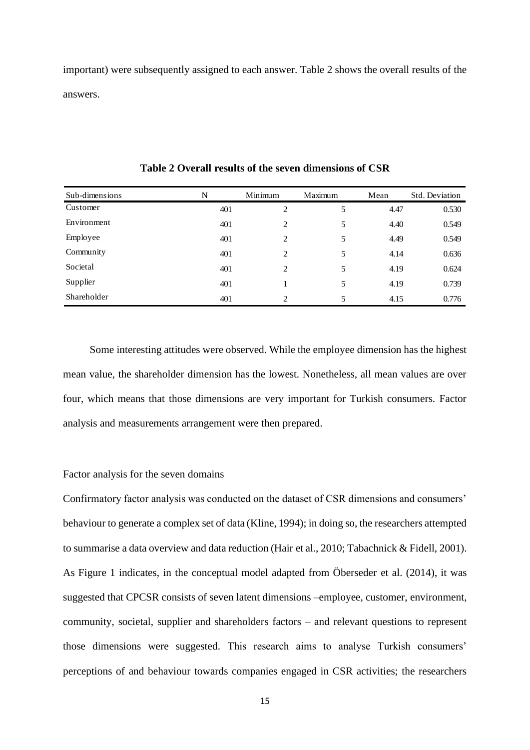important) were subsequently assigned to each answer. Table 2 shows the overall results of the answers.

| Sub-dimensions | N   | Minimum        | Maximum | Mean | Std. Deviation |
|----------------|-----|----------------|---------|------|----------------|
| Customer       | 401 | 2              | 5       | 4.47 | 0.530          |
| Environment    | 401 | 2              | 5       | 4.40 | 0.549          |
| Employee       | 401 | 2              | 5       | 4.49 | 0.549          |
| Community      | 401 | 2              | 5       | 4.14 | 0.636          |
| Societal       | 401 | 2              | 5       | 4.19 | 0.624          |
| Supplier       | 401 |                | 5       | 4.19 | 0.739          |
| Shareholder    | 401 | $\mathfrak{D}$ | 5       | 4.15 | 0.776          |

**Table 2 Overall results of the seven dimensions of CSR**

Some interesting attitudes were observed. While the employee dimension has the highest mean value, the shareholder dimension has the lowest. Nonetheless, all mean values are over four, which means that those dimensions are very important for Turkish consumers. Factor analysis and measurements arrangement were then prepared.

# Factor analysis for the seven domains

Confirmatory factor analysis was conducted on the dataset of CSR dimensions and consumers' behaviour to generate a complex set of data (Kline, 1994); in doing so, the researchers attempted to summarise a data overview and data reduction (Hair et al., 2010; Tabachnick & Fidell, 2001). As Figure 1 indicates, in the conceptual model adapted from Öberseder et al. (2014), it was suggested that CPCSR consists of seven latent dimensions –employee, customer, environment, community, societal, supplier and shareholders factors – and relevant questions to represent those dimensions were suggested. This research aims to analyse Turkish consumers' perceptions of and behaviour towards companies engaged in CSR activities; the researchers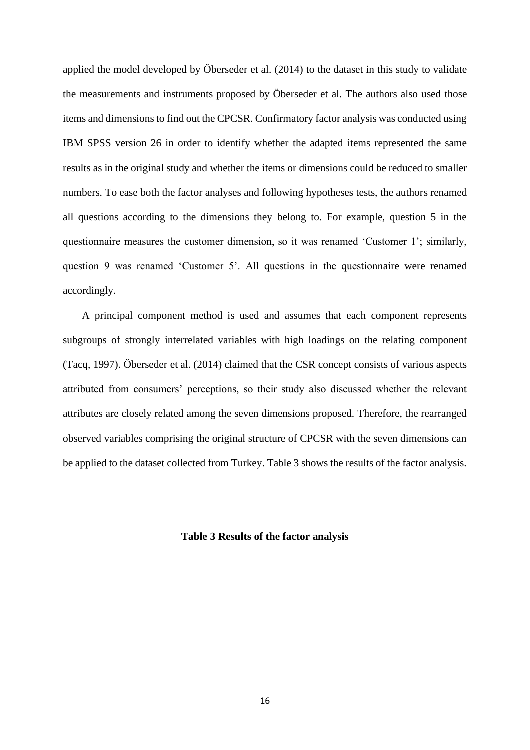applied the model developed by Öberseder et al. (2014) to the dataset in this study to validate the measurements and instruments proposed by Öberseder et al. The authors also used those items and dimensions to find out the CPCSR. Confirmatory factor analysis was conducted using IBM SPSS version 26 in order to identify whether the adapted items represented the same results as in the original study and whether the items or dimensions could be reduced to smaller numbers. To ease both the factor analyses and following hypotheses tests, the authors renamed all questions according to the dimensions they belong to. For example, question 5 in the questionnaire measures the customer dimension, so it was renamed 'Customer 1'; similarly, question 9 was renamed 'Customer 5'. All questions in the questionnaire were renamed accordingly.

A principal component method is used and assumes that each component represents subgroups of strongly interrelated variables with high loadings on the relating component (Tacq, 1997). Öberseder et al. (2014) claimed that the CSR concept consists of various aspects attributed from consumers' perceptions, so their study also discussed whether the relevant attributes are closely related among the seven dimensions proposed. Therefore, the rearranged observed variables comprising the original structure of CPCSR with the seven dimensions can be applied to the dataset collected from Turkey. Table 3 shows the results of the factor analysis.

## **Table 3 Results of the factor analysis**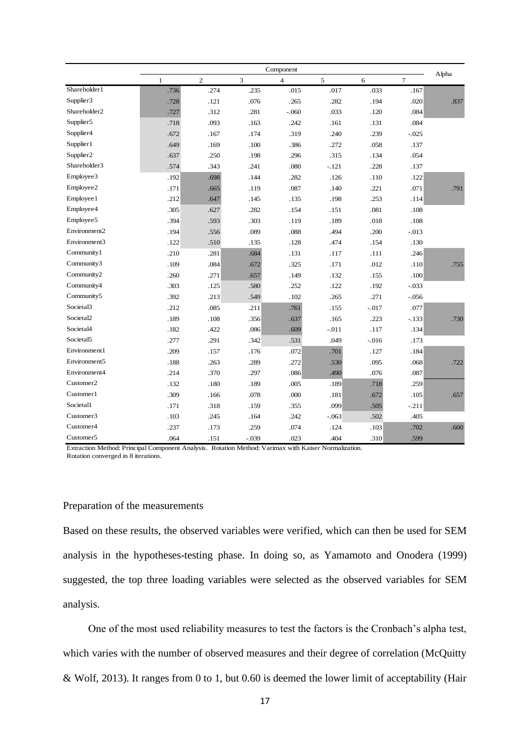|                          |              |                |         | Component               |         |         |                | Alpha |
|--------------------------|--------------|----------------|---------|-------------------------|---------|---------|----------------|-------|
|                          | $\mathbf{1}$ | $\overline{2}$ | 3       | $\overline{\mathbf{4}}$ | 5       | 6       | $\overline{7}$ |       |
| Shareholder1             | .736         | .274           | .235    | .015                    | .017    | .033    | .167           |       |
| Supplier3                | .728         | .121           | .076    | .265                    | .282    | .194    | .020           | .837  |
| Shareholder <sub>2</sub> | .727         | .312           | .281    | $-.060$                 | .033    | .120    | .084           |       |
| Supplier5                | .718         | .093           | .163    | .242                    | .161    | .131    | .084           |       |
| Supplier4                | .672         | .167           | .174    | .319                    | .240    | .239    | $-.025$        |       |
| Supplier1                | .649         | .169           | .100    | .386                    | .272    | .058    | .137           |       |
| Supplier2                | .637         | .250           | .198    | .296                    | .315    | .134    | .054           |       |
| Shareholder3             | .574         | .343           | .241    | .080                    | $-.121$ | .228    | .137           |       |
| Employee3                | .192         | .698           | .144    | .282                    | .126    | .110    | .122           |       |
| Employee2                | .171         | .665           | .119    | .087                    | .140    | .221    | .071           | .791  |
| Employee1                | .212         | .647           | .145    | .135                    | .198    | .253    | .114           |       |
| Employee4                | .305         | .627           | .282    | .154                    | .151    | .081    | .108           |       |
| Employee5                | .394         | .593           | .303    | .119                    | .189    | .018    | .108           |       |
| Environment2             | .194         | .556           | .089    | .088                    | .494    | .200    | $-.013$        |       |
| Environment3             | .122         | .510           | .135    | .128                    | .474    | .154    | .130           |       |
| Community1               | .210         | .281           | .684    | .131                    | .117    | .111    | .246           |       |
| Community3               | .109         | .084           | .672    | .325                    | .171    | .012    | .110           | .755  |
| Community2               | .260         | .271           | .657    | .149                    | .132    | .155    | .100           |       |
| Community4               | .303         | .125           | .580    | .252                    | .122    | .192    | $-.033$        |       |
| Community5               | .392         | .213           | .549    | .102                    | .265    | .271    | $-.056$        |       |
| Societal <sub>3</sub>    | .212         | .085           | .211    | .761                    | .155    | $-.017$ | .077           |       |
| Societal <sub>2</sub>    | .189         | .108           | .356    | .637                    | .165    | .223    | $-.133$        | .730  |
| Societal4                | .182         | .422           | .086    | .609                    | $-.011$ | .117    | .134           |       |
| Societal <sub>5</sub>    | .277         | .291           | .342    | .531                    | .049    | $-.016$ | .173           |       |
| Environment1             | .209         | .157           | .176    | .072                    | .701    | .127    | .184           |       |
| Environment5             | .188         | .263           | .289    | .272                    | .530    | .095    | .068           | .722  |
| Environment4             | .214         | .370           | .297    | .086                    | .490    | .076    | .087           |       |
| Customer <sub>2</sub>    | .132         | .180           | .189    | .005                    | .189    | .718    | .259           |       |
| Customer1                | .309         | .166           | .078    | .000                    | .181    | .672    | .105           | .657  |
| Societal1                | .171         | .318           | .159    | .355                    | .099    | .505    | $-.211$        |       |
| Customer3                | .103         | .245           | .164    | .242                    | $-.063$ | .502    | .405           |       |
| Customer4                | .237         | .173           | .259    | .074                    | .124    | .103    | .702           | .600  |
| Customer <sub>5</sub>    | .064         | .151           | $-.039$ | .023                    | .404    | .310    | .599           |       |

Extraction Method: Principal Component Analysis. Rotation Method: Varimax with Kaiser Normalization. Rotation converged in 8 iterations.

# Preparation of the measurements

Based on these results, the observed variables were verified, which can then be used for SEM analysis in the hypotheses-testing phase. In doing so, as Yamamoto and Onodera (1999) suggested, the top three loading variables were selected as the observed variables for SEM analysis.

One of the most used reliability measures to test the factors is the Cronbach's alpha test, which varies with the number of observed measures and their degree of correlation (McQuitty & Wolf, 2013). It ranges from 0 to 1, but 0.60 is deemed the lower limit of acceptability (Hair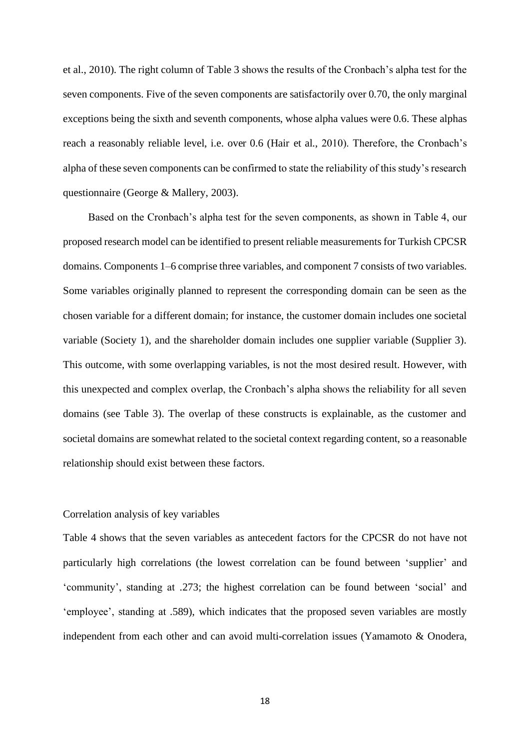et al., 2010). The right column of Table 3 shows the results of the Cronbach's alpha test for the seven components. Five of the seven components are satisfactorily over 0.70, the only marginal exceptions being the sixth and seventh components, whose alpha values were 0.6. These alphas reach a reasonably reliable level, i.e. over 0.6 (Hair et al., 2010). Therefore, the Cronbach's alpha of these seven components can be confirmed to state the reliability of this study's research questionnaire (George & Mallery, 2003).

Based on the Cronbach's alpha test for the seven components, as shown in Table 4, our proposed research model can be identified to present reliable measurements for Turkish CPCSR domains. Components 1–6 comprise three variables, and component 7 consists of two variables. Some variables originally planned to represent the corresponding domain can be seen as the chosen variable for a different domain; for instance, the customer domain includes one societal variable (Society 1), and the shareholder domain includes one supplier variable (Supplier 3). This outcome, with some overlapping variables, is not the most desired result. However, with this unexpected and complex overlap, the Cronbach's alpha shows the reliability for all seven domains (see Table 3). The overlap of these constructs is explainable, as the customer and societal domains are somewhat related to the societal context regarding content, so a reasonable relationship should exist between these factors.

#### Correlation analysis of key variables

Table 4 shows that the seven variables as antecedent factors for the CPCSR do not have not particularly high correlations (the lowest correlation can be found between 'supplier' and 'community', standing at .273; the highest correlation can be found between 'social' and 'employee', standing at .589), which indicates that the proposed seven variables are mostly independent from each other and can avoid multi-correlation issues (Yamamoto & Onodera,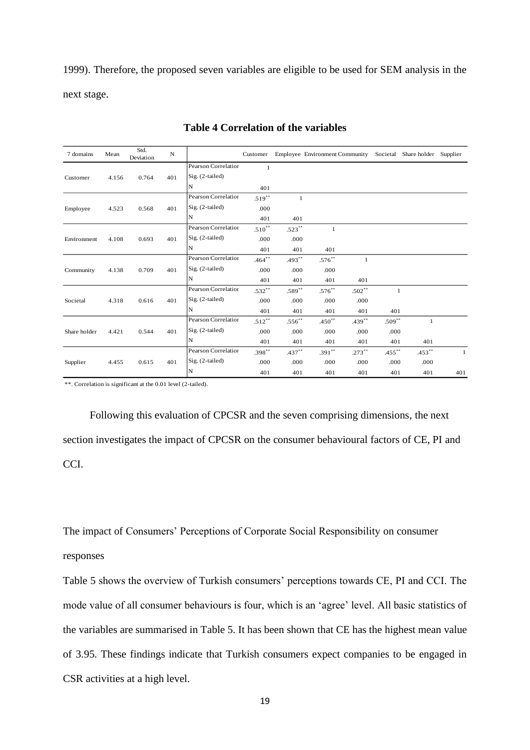1999). Therefore, the proposed seven variables are eligible to be used for SEM analysis in the next stage.

| 7 domains    | Mean  | Std.<br>Deviation | ${\bf N}$ |                     | Customer     |             | Employee Environment Community Societal |              |           | Share holder Supplier |     |
|--------------|-------|-------------------|-----------|---------------------|--------------|-------------|-----------------------------------------|--------------|-----------|-----------------------|-----|
|              |       |                   |           | Pearson Correlation | $\mathbf{1}$ |             |                                         |              |           |                       |     |
| Customer     | 4.156 | 0.764             | 401       | Sig. (2-tailed)     |              |             |                                         |              |           |                       |     |
|              |       |                   |           | N                   | 401          |             |                                         |              |           |                       |     |
|              |       |                   |           | Pearson Correlation | $.519**$     | 1           |                                         |              |           |                       |     |
| Employee     | 4.523 | 0.568             | 401       | Sig. (2-tailed)     | .000         |             |                                         |              |           |                       |     |
|              |       |                   |           | N                   | 401          | 401         |                                         |              |           |                       |     |
|              |       |                   |           | Pearson Correlation | $.510**$     | $.523**$    | 1                                       |              |           |                       |     |
| Environment  | 4.108 | 0.693             | 401       | Sig. (2-tailed)     | .000         | .000        |                                         |              |           |                       |     |
|              |       |                   |           | N                   | 401          | 401         | 401                                     |              |           |                       |     |
|              |       |                   |           | Pearson Correlation | $.464***$    | $.493**$    | $.576**$                                | $\mathbf{1}$ |           |                       |     |
| Community    | 4.138 | 0.709             | 401       | Sig. (2-tailed)     | .000         | .000        | .000                                    |              |           |                       |     |
|              |       |                   |           | N                   | 401          | 401         | 401                                     | 401          |           |                       |     |
|              |       |                   |           | Pearson Correlation | $.532**$     | $.589**$    | $.576***$                               | $.502**$     | 1         |                       |     |
| Societal     | 4.318 | 0.616             | 401       | Sig. (2-tailed)     | .000         | .000        | .000                                    | .000         |           |                       |     |
|              |       |                   |           | N                   | 401          | 401         | 401                                     | 401          | 401       |                       |     |
|              |       |                   |           | Pearson Correlation | $.512**$     | $.556^{**}$ | $.450**$                                | $.439**$     | $.509**$  | 1                     |     |
| Share holder | 4.421 | 0.544             | 401       | Sig. (2-tailed)     | .000         | .000        | .000                                    | .000         | .000      |                       |     |
|              |       |                   |           | N                   | 401          | 401         | 401                                     | 401          | 401       | 401                   |     |
|              |       |                   |           | Pearson Correlation | $.398***$    | $.437**$    | $.391**$                                | $.273***$    | $.455***$ | $.453**$              | 1   |
| Supplier     | 4.455 | 0.615             | 401       | Sig. (2-tailed)     | .000         | .000        | .000                                    | .000         | .000      | .000                  |     |
|              |       |                   |           | N                   | 401          | 401         | 401                                     | 401          | 401       | 401                   | 401 |

# **Table 4 Correlation of the variables**

\*\*. Correlation is significant at the 0.01 level (2-tailed).

Following this evaluation of CPCSR and the seven comprising dimensions, the next section investigates the impact of CPCSR on the consumer behavioural factors of CE, PI and CCI.

The impact of Consumers' Perceptions of Corporate Social Responsibility on consumer responses

Table 5 shows the overview of Turkish consumers' perceptions towards CE, PI and CCI. The mode value of all consumer behaviours is four, which is an 'agree' level. All basic statistics of the variables are summarised in Table 5. It has been shown that CE has the highest mean value of 3.95. These findings indicate that Turkish consumers expect companies to be engaged in CSR activities at a high level.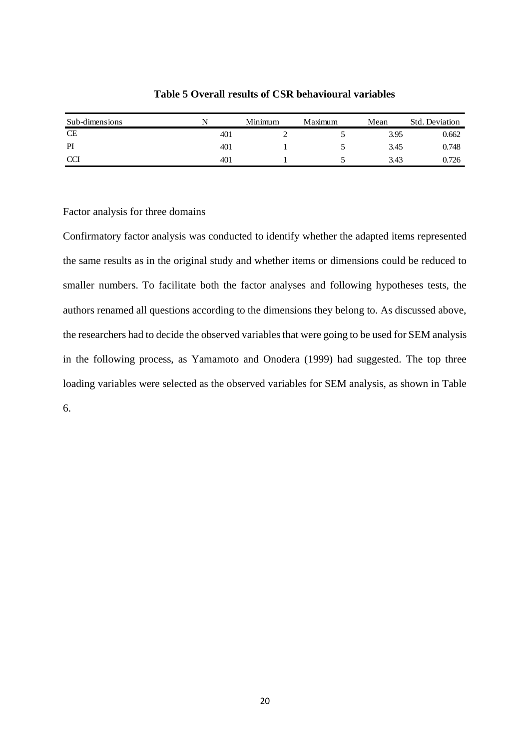| Sub-dimensions | N   | Minimum | Maximum | Mean | Std. Deviation |
|----------------|-----|---------|---------|------|----------------|
| <b>CE</b>      | 401 |         |         | 3.95 | 0.662          |
| PI             | 401 |         |         | 3.45 | 0.748          |
| <b>CCI</b>     | 401 |         |         | 3.43 | 0.726          |

**Table 5 Overall results of CSR behavioural variables**

Factor analysis for three domains

Confirmatory factor analysis was conducted to identify whether the adapted items represented the same results as in the original study and whether items or dimensions could be reduced to smaller numbers. To facilitate both the factor analyses and following hypotheses tests, the authors renamed all questions according to the dimensions they belong to. As discussed above, the researchers had to decide the observed variables that were going to be used for SEM analysis in the following process, as Yamamoto and Onodera (1999) had suggested. The top three loading variables were selected as the observed variables for SEM analysis, as shown in Table 6.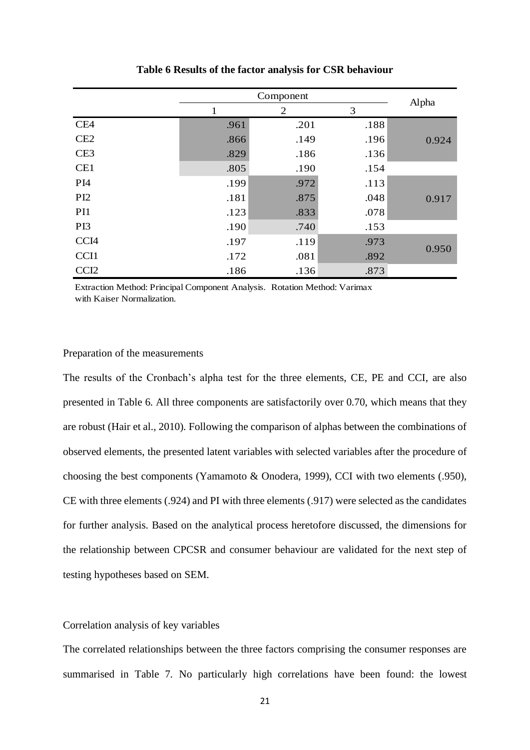|                  |      | Alpha |      |       |
|------------------|------|-------|------|-------|
|                  | 1    | 2     | 3    |       |
| CE4              | .961 | .201  | .188 |       |
| CE2              | .866 | .149  | .196 | 0.924 |
| CE <sub>3</sub>  | .829 | .186  | .136 |       |
| CE1              | .805 | .190  | .154 |       |
| PI <sub>4</sub>  | .199 | .972  | .113 |       |
| PI <sub>2</sub>  | .181 | .875  | .048 | 0.917 |
| PI1              | .123 | .833  | .078 |       |
| PI3              | .190 | .740  | .153 |       |
| CCI <sub>4</sub> | .197 | .119  | .973 |       |
| CCI1             | .172 | .081  | .892 | 0.950 |
| CCI <sub>2</sub> | .186 | .136  | .873 |       |

#### **Table 6 Results of the factor analysis for CSR behaviour**

Extraction Method: Principal Component Analysis. Rotation Method: Varimax with Kaiser Normalization.

# Preparation of the measurements

The results of the Cronbach's alpha test for the three elements, CE, PE and CCI, are also presented in Table 6. All three components are satisfactorily over 0.70, which means that they are robust (Hair et al., 2010). Following the comparison of alphas between the combinations of observed elements, the presented latent variables with selected variables after the procedure of choosing the best components (Yamamoto & Onodera, 1999), CCI with two elements (.950), CE with three elements (.924) and PI with three elements (.917) were selected as the candidates for further analysis. Based on the analytical process heretofore discussed, the dimensions for the relationship between CPCSR and consumer behaviour are validated for the next step of testing hypotheses based on SEM.

### Correlation analysis of key variables

The correlated relationships between the three factors comprising the consumer responses are summarised in Table 7. No particularly high correlations have been found: the lowest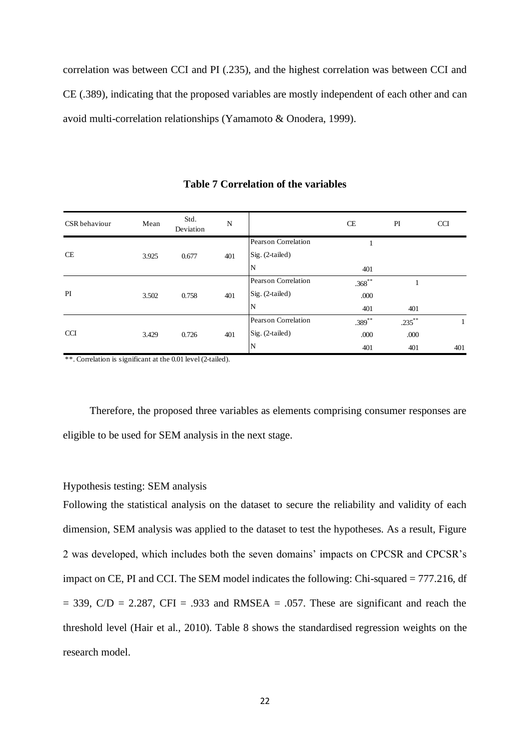correlation was between CCI and PI (.235), and the highest correlation was between CCI and CE (.389), indicating that the proposed variables are mostly independent of each other and can avoid multi-correlation relationships (Yamamoto & Onodera, 1999).

| CSR behaviour | Mean  | Std.<br>Deviation | N   |                     | CE        | PI        | <b>CCI</b> |
|---------------|-------|-------------------|-----|---------------------|-----------|-----------|------------|
|               |       |                   |     | Pearson Correlation |           |           |            |
| CE            | 3.925 | 0.677             | 401 | Sig. (2-tailed)     |           |           |            |
|               |       |                   |     | N                   | 401       |           |            |
|               | 3.502 | 0.758             | 401 | Pearson Correlation | $.368***$ |           |            |
| PI            |       |                   |     | Sig. (2-tailed)     | .000      |           |            |
|               |       |                   |     | N                   | 401       | 401       |            |
|               |       |                   |     | Pearson Correlation | $.389***$ | $.235***$ |            |
| <b>CCI</b>    | 3.429 | 0.726             | 401 | Sig. (2-tailed)     | .000      | .000      |            |
|               |       |                   |     | N                   | 401       | 401       | 401        |

**Table 7 Correlation of the variables**

\*\*. Correlation is significant at the 0.01 level (2-tailed).

Therefore, the proposed three variables as elements comprising consumer responses are eligible to be used for SEM analysis in the next stage.

# Hypothesis testing: SEM analysis

Following the statistical analysis on the dataset to secure the reliability and validity of each dimension, SEM analysis was applied to the dataset to test the hypotheses. As a result, Figure 2 was developed, which includes both the seven domains' impacts on CPCSR and CPCSR's impact on CE, PI and CCI. The SEM model indicates the following: Chi-squared = 777.216, df  $= 339$ , C/D  $= 2.287$ , CFI  $= .933$  and RMSEA  $= .057$ . These are significant and reach the threshold level (Hair et al., 2010). Table 8 shows the standardised regression weights on the research model.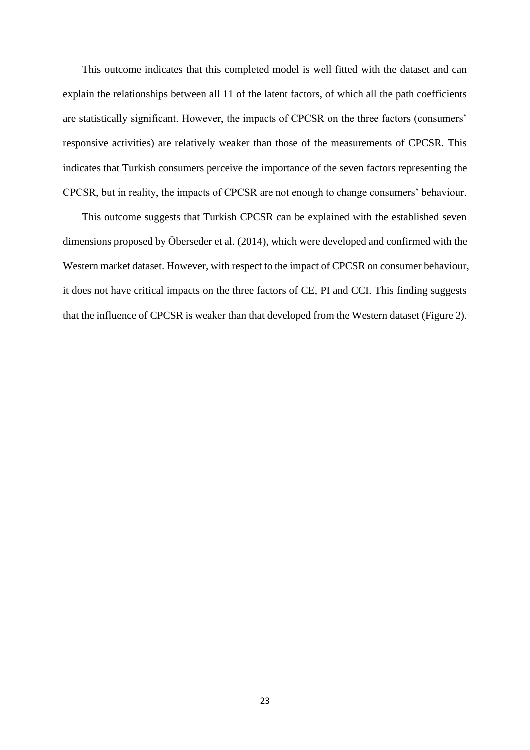This outcome indicates that this completed model is well fitted with the dataset and can explain the relationships between all 11 of the latent factors, of which all the path coefficients are statistically significant. However, the impacts of CPCSR on the three factors (consumers' responsive activities) are relatively weaker than those of the measurements of CPCSR. This indicates that Turkish consumers perceive the importance of the seven factors representing the CPCSR, but in reality, the impacts of CPCSR are not enough to change consumers' behaviour.

This outcome suggests that Turkish CPCSR can be explained with the established seven dimensions proposed by Öberseder et al. (2014), which were developed and confirmed with the Western market dataset. However, with respect to the impact of CPCSR on consumer behaviour, it does not have critical impacts on the three factors of CE, PI and CCI. This finding suggests that the influence of CPCSR is weaker than that developed from the Western dataset (Figure 2).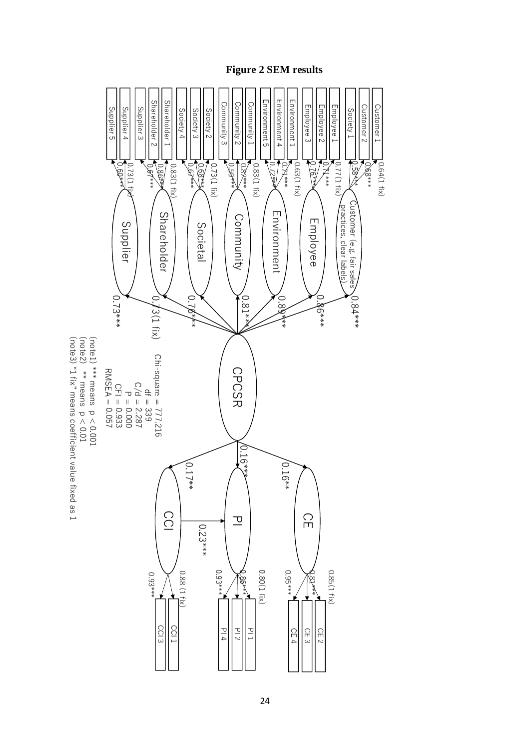

**Figure 2 SEM results**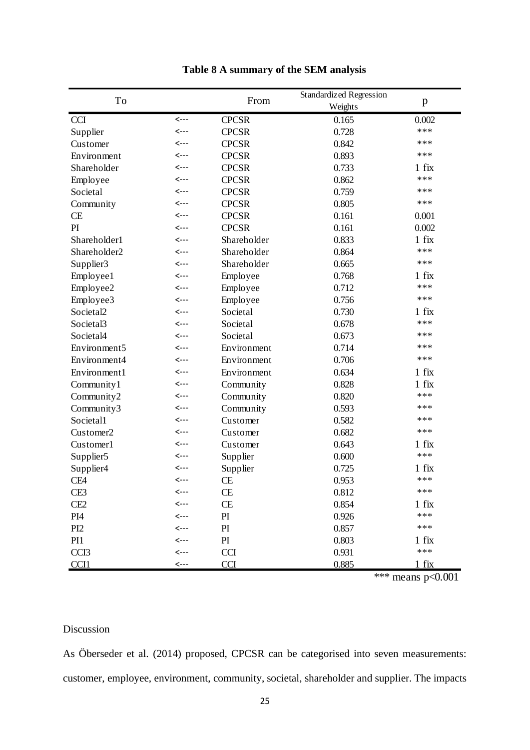| Table 8 A summary of the SEM analysis |      |              |                                           |         |  |  |  |
|---------------------------------------|------|--------------|-------------------------------------------|---------|--|--|--|
| To                                    |      | From         | <b>Standardized Regression</b><br>Weights | p       |  |  |  |
| <b>CCI</b>                            | <--- | <b>CPCSR</b> | 0.165                                     | 0.002   |  |  |  |
| Supplier                              | <--- | <b>CPCSR</b> | 0.728                                     | ***     |  |  |  |
| Customer                              | <--- | <b>CPCSR</b> | 0.842                                     | ***     |  |  |  |
| Environment                           | <--- | <b>CPCSR</b> | 0.893                                     | ***     |  |  |  |
| Shareholder                           | <--- | <b>CPCSR</b> | 0.733                                     | $1$ fix |  |  |  |
| Employee                              | <--- | <b>CPCSR</b> | 0.862                                     | ***     |  |  |  |
| Societal                              | <--- | <b>CPCSR</b> | 0.759                                     | ***     |  |  |  |
| Community                             | <--- | <b>CPCSR</b> | 0.805                                     | ***     |  |  |  |
| <b>CE</b>                             | <--- | <b>CPCSR</b> | 0.161                                     | 0.001   |  |  |  |
| PI                                    | <--- | <b>CPCSR</b> | 0.161                                     | 0.002   |  |  |  |
| Shareholder1                          | <--- | Shareholder  | 0.833                                     | $1$ fix |  |  |  |
| Shareholder <sub>2</sub>              | <--- | Shareholder  | 0.864                                     | ***     |  |  |  |
| Supplier3                             | <--- | Shareholder  | 0.665                                     | ***     |  |  |  |
| Employee1                             | <--- | Employee     | 0.768                                     | $1$ fix |  |  |  |
| Employee2                             | <--- | Employee     | 0.712                                     | ***     |  |  |  |
| Employee3                             | <--- | Employee     | 0.756                                     | ***     |  |  |  |
| Societal <sub>2</sub>                 | <--- | Societal     | 0.730                                     | $1$ fix |  |  |  |
| Societal3                             | <--- | Societal     | 0.678                                     | ***     |  |  |  |
| Societal4                             | <--- | Societal     | 0.673                                     | ***     |  |  |  |
| Environment5                          | <--- | Environment  | 0.714                                     | ***     |  |  |  |
| Environment4                          | <--- | Environment  | 0.706                                     | ***     |  |  |  |
| Environment1                          | <--- | Environment  | 0.634                                     | $1$ fix |  |  |  |
| Community1                            | <--- | Community    | 0.828                                     | $1$ fix |  |  |  |
| Community2                            | <--- | Community    | 0.820                                     | ***     |  |  |  |
| Community3                            | <--- | Community    | 0.593                                     | ***     |  |  |  |
| Societal1                             | <--- | Customer     | 0.582                                     | ***     |  |  |  |
| Customer <sub>2</sub>                 | <--- | Customer     | 0.682                                     | ***     |  |  |  |
| Customer1                             | <--- | Customer     | 0.643                                     | $1$ fix |  |  |  |
| Supplier <sub>5</sub>                 | <--- | Supplier     | 0.600                                     | ***     |  |  |  |
| Supplier4                             | <--- | Supplier     | 0.725                                     | $1$ fix |  |  |  |
| CE4                                   | <--- | CE           | 0.953                                     | $***$   |  |  |  |
| CE3                                   | <--- | CE           | 0.812                                     | ***     |  |  |  |
| CE <sub>2</sub>                       | <--- | CE           | 0.854                                     | $1$ fix |  |  |  |
| PI <sub>4</sub>                       | <--- | PI           | 0.926                                     | $***$   |  |  |  |
| PI <sub>2</sub>                       | <--- | PI           | 0.857                                     | ***     |  |  |  |
| PI1                                   | <--- | PI           | 0.803                                     | $1$ fix |  |  |  |
| CCI <sub>3</sub>                      | <--- | <b>CCI</b>   | 0.931                                     | $***$   |  |  |  |
| CCI1                                  | <--- | <b>CCI</b>   | 0.885                                     | $1$ fix |  |  |  |

\*\*\* means  $p<0.001$ 

# Discussion

As Öberseder et al. (2014) proposed, CPCSR can be categorised into seven measurements: customer, employee, environment, community, societal, shareholder and supplier. The impacts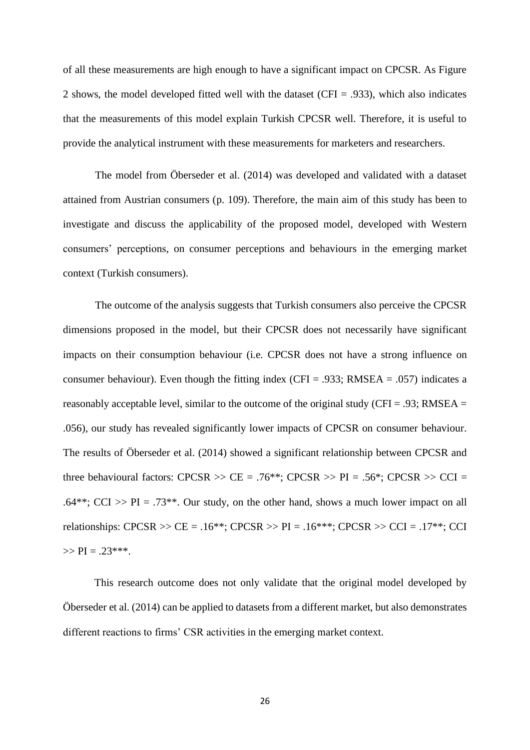of all these measurements are high enough to have a significant impact on CPCSR. As Figure 2 shows, the model developed fitted well with the dataset (CFI = .933), which also indicates that the measurements of this model explain Turkish CPCSR well. Therefore, it is useful to provide the analytical instrument with these measurements for marketers and researchers.

The model from Öberseder et al. (2014) was developed and validated with a dataset attained from Austrian consumers (p. 109). Therefore, the main aim of this study has been to investigate and discuss the applicability of the proposed model, developed with Western consumers' perceptions, on consumer perceptions and behaviours in the emerging market context (Turkish consumers).

The outcome of the analysis suggests that Turkish consumers also perceive the CPCSR dimensions proposed in the model, but their CPCSR does not necessarily have significant impacts on their consumption behaviour (i.e. CPCSR does not have a strong influence on consumer behaviour). Even though the fitting index (CFI = .933; RMSEA = .057) indicates a reasonably acceptable level, similar to the outcome of the original study (CFI = .93; RMSEA = .056), our study has revealed significantly lower impacts of CPCSR on consumer behaviour. The results of Öberseder et al. (2014) showed a significant relationship between CPCSR and three behavioural factors: CPCSR  $\gg$  CE = .76<sup>\*</sup>\*; CPCSR  $\gg$  PI = .56<sup>\*</sup>; CPCSR  $\gg$  CCI = .64\*\*; CCI >> PI = .73\*\*. Our study, on the other hand, shows a much lower impact on all relationships:  $CPCSR \gg CE = .16**$ ;  $CPCSR \gg PI = .16***$ ;  $CPCSR \gg CCI = .17**$ ; CCI  $>> PI = .23***$ .

This research outcome does not only validate that the original model developed by Öberseder et al. (2014) can be applied to datasets from a different market, but also demonstrates different reactions to firms' CSR activities in the emerging market context.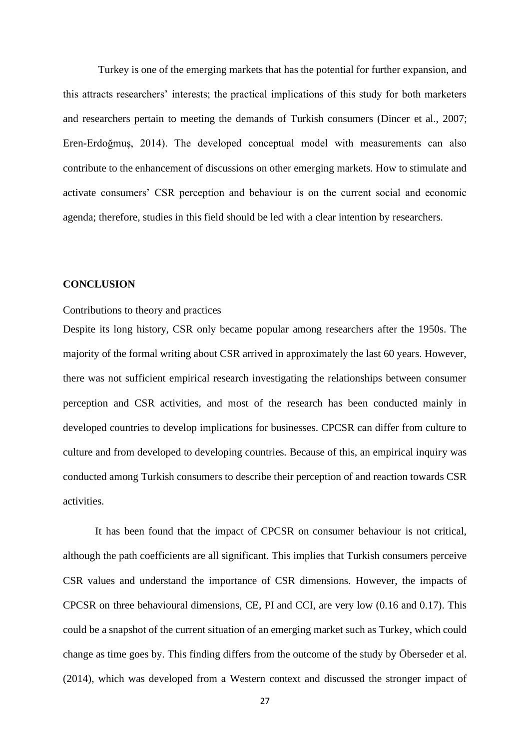Turkey is one of the emerging markets that has the potential for further expansion, and this attracts researchers' interests; the practical implications of this study for both marketers and researchers pertain to meeting the demands of Turkish consumers (Dincer et al., 2007; Eren-Erdoğmuş, 2014). The developed conceptual model with measurements can also contribute to the enhancement of discussions on other emerging markets. How to stimulate and activate consumers' CSR perception and behaviour is on the current social and economic agenda; therefore, studies in this field should be led with a clear intention by researchers.

# **CONCLUSION**

# Contributions to theory and practices

Despite its long history, CSR only became popular among researchers after the 1950s. The majority of the formal writing about CSR arrived in approximately the last 60 years. However, there was not sufficient empirical research investigating the relationships between consumer perception and CSR activities, and most of the research has been conducted mainly in developed countries to develop implications for businesses. CPCSR can differ from culture to culture and from developed to developing countries. Because of this, an empirical inquiry was conducted among Turkish consumers to describe their perception of and reaction towards CSR activities.

It has been found that the impact of CPCSR on consumer behaviour is not critical, although the path coefficients are all significant. This implies that Turkish consumers perceive CSR values and understand the importance of CSR dimensions. However, the impacts of CPCSR on three behavioural dimensions, CE, PI and CCI, are very low (0.16 and 0.17). This could be a snapshot of the current situation of an emerging market such as Turkey, which could change as time goes by. This finding differs from the outcome of the study by Öberseder et al. (2014), which was developed from a Western context and discussed the stronger impact of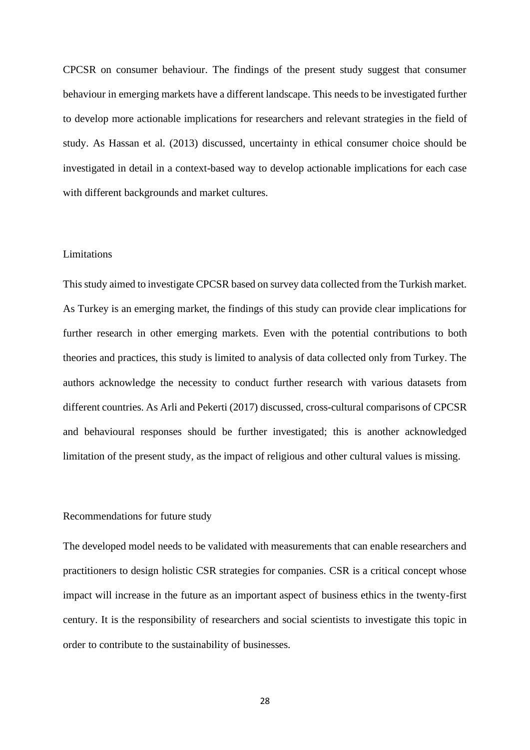CPCSR on consumer behaviour. The findings of the present study suggest that consumer behaviour in emerging markets have a different landscape. This needs to be investigated further to develop more actionable implications for researchers and relevant strategies in the field of study. As Hassan et al. (2013) discussed, uncertainty in ethical consumer choice should be investigated in detail in a context-based way to develop actionable implications for each case with different backgrounds and market cultures.

## Limitations

This study aimed to investigate CPCSR based on survey data collected from the Turkish market. As Turkey is an emerging market, the findings of this study can provide clear implications for further research in other emerging markets. Even with the potential contributions to both theories and practices, this study is limited to analysis of data collected only from Turkey. The authors acknowledge the necessity to conduct further research with various datasets from different countries. As Arli and Pekerti (2017) discussed, cross-cultural comparisons of CPCSR and behavioural responses should be further investigated; this is another acknowledged limitation of the present study, as the impact of religious and other cultural values is missing.

### Recommendations for future study

The developed model needs to be validated with measurements that can enable researchers and practitioners to design holistic CSR strategies for companies. CSR is a critical concept whose impact will increase in the future as an important aspect of business ethics in the twenty-first century. It is the responsibility of researchers and social scientists to investigate this topic in order to contribute to the sustainability of businesses.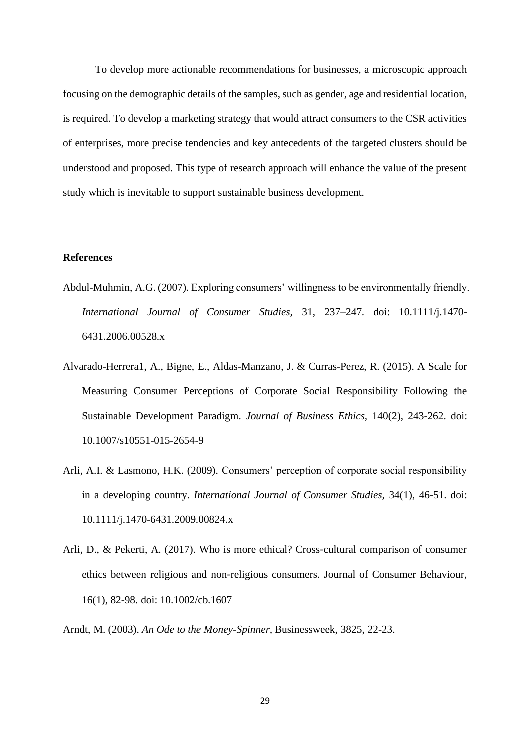To develop more actionable recommendations for businesses, a microscopic approach focusing on the demographic details of the samples, such as gender, age and residential location, is required. To develop a marketing strategy that would attract consumers to the CSR activities of enterprises, more precise tendencies and key antecedents of the targeted clusters should be understood and proposed. This type of research approach will enhance the value of the present study which is inevitable to support sustainable business development.

# **References**

- Abdul-Muhmin, A.G. (2007). Exploring consumers' willingness to be environmentally friendly. *International Journal of Consumer Studies,* 31, 237–247. doi: 10.1111/j.1470- 6431.2006.00528.x
- Alvarado-Herrera1, A., Bigne, E., Aldas-Manzano, J. & Curras-Perez, R. (2015). A Scale for Measuring Consumer Perceptions of Corporate Social Responsibility Following the Sustainable Development Paradigm. *Journal of Business Ethics,* 140(2), 243-262. doi: 10.1007/s10551-015-2654-9
- Arli, A.I. & Lasmono, H.K. (2009). Consumers' perception of corporate social responsibility in a developing country. *International Journal of Consumer Studies,* 34(1), 46-51. doi: 10.1111/j.1470-6431.2009.00824.x
- Arli, D., & Pekerti, A. (2017). Who is more ethical? Cross‐cultural comparison of consumer ethics between religious and non‐religious consumers. Journal of Consumer Behaviour, 16(1), 82-98. doi: 10.1002/cb.1607

Arndt, M. (2003). *An Ode to the Money-Spinner,* Businessweek, 3825, 22-23.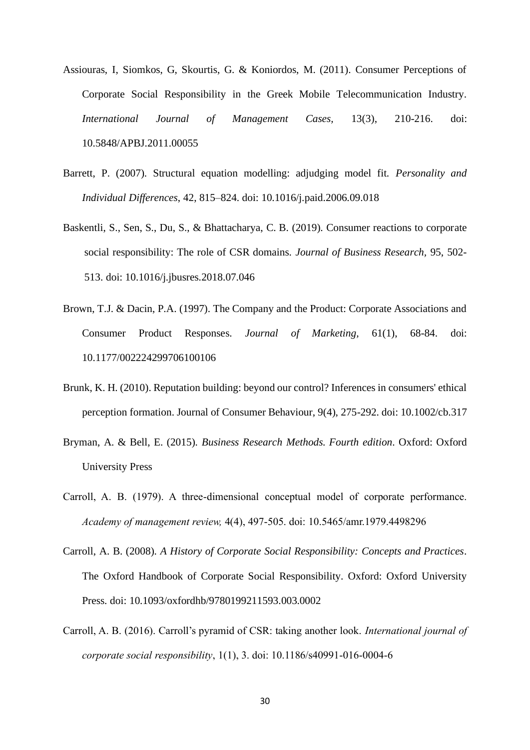- Assiouras, I, Siomkos, G, Skourtis, G. & Koniordos, M. (2011). Consumer Perceptions of Corporate Social Responsibility in the Greek Mobile Telecommunication Industry. *International Journal of Management Cases,* 13(3), 210-216. doi: 10.5848/APBJ.2011.00055
- Barrett, P. (2007). Structural equation modelling: adjudging model fit. *Personality and Individual Differences*, 42, 815–824. doi: 10.1016/j.paid.2006.09.018
- Baskentli, S., Sen, S., Du, S., & Bhattacharya, C. B. (2019). Consumer reactions to corporate social responsibility: The role of CSR domains. *Journal of Business Research,* 95, 502- 513. doi: 10.1016/j.jbusres.2018.07.046
- Brown, T.J. & Dacin, P.A. (1997). The Company and the Product: Corporate Associations and Consumer Product Responses. *Journal of Marketing,* 61(1), 68-84. doi: 10.1177/002224299706100106
- Brunk, K. H. (2010). Reputation building: beyond our control? Inferences in consumers' ethical perception formation. Journal of Consumer Behaviour, 9(4), 275-292. doi: 10.1002/cb.317
- Bryman, A. & Bell, E. (2015). *Business Research Methods. Fourth edition*. Oxford: Oxford University Press
- Carroll, A. B. (1979). A three-dimensional conceptual model of corporate performance. *Academy of management review,* 4(4), 497-505. doi: 10.5465/amr.1979.4498296
- Carroll, A. B. (2008). *A History of Corporate Social Responsibility: Concepts and Practices*. The Oxford Handbook of Corporate Social Responsibility. Oxford: Oxford University Press. doi: 10.1093/oxfordhb/9780199211593.003.0002
- Carroll, A. B. (2016). Carroll's pyramid of CSR: taking another look. *International journal of corporate social responsibility*, 1(1), 3. doi: 10.1186/s40991-016-0004-6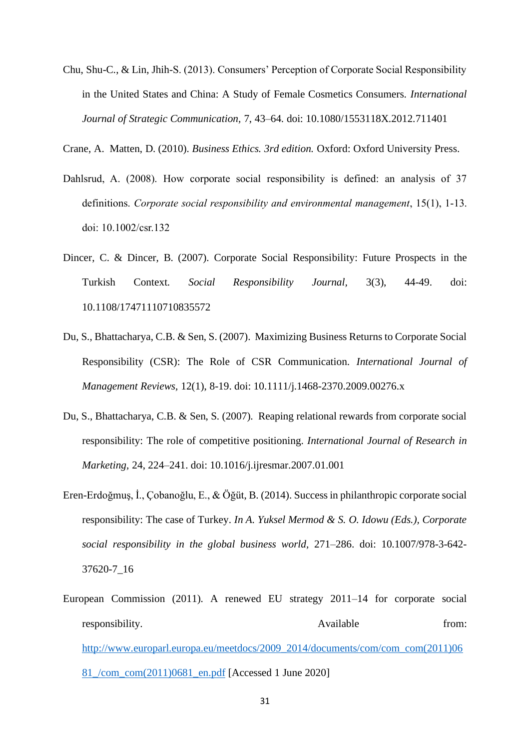- Chu, Shu-C., & Lin, Jhih-S. (2013). Consumers' Perception of Corporate Social Responsibility in the United States and China: A Study of Female Cosmetics Consumers. *International Journal of Strategic Communication,* 7, 43–64. doi: 10.1080/1553118X.2012.711401
- Crane, A. Matten, D. (2010). *Business Ethics. 3rd edition.* Oxford: Oxford University Press.
- Dahlsrud, A. (2008). How corporate social responsibility is defined: an analysis of 37 definitions. *Corporate social responsibility and environmental management*, 15(1), 1-13. doi: 10.1002/csr.132
- Dincer, C. & Dincer, B. (2007). Corporate Social Responsibility: Future Prospects in the Turkish Context. *Social Responsibility Journal,* 3(3), 44-49. doi: 10.1108/17471110710835572
- Du, S., Bhattacharya, C.B. & Sen, S. (2007). Maximizing Business Returns to Corporate Social Responsibility (CSR): The Role of CSR Communication. *International Journal of Management Reviews,* 12(1), 8-19. doi: 10.1111/j.1468-2370.2009.00276.x
- Du, S., Bhattacharya, C.B. & Sen, S. (2007). Reaping relational rewards from corporate social responsibility: The role of competitive positioning. *International Journal of Research in Marketing,* 24, 224–241. doi: 10.1016/j.ijresmar.2007.01.001
- Eren-Erdoğmuş, İ., Çobanoğlu, E., & Öğüt, B. (2014). Success in philanthropic corporate social responsibility: The case of Turkey. *In A. Yuksel Mermod & S. O. Idowu (Eds.), Corporate social responsibility in the global business world,* 271–286. doi: 10.1007/978-3-642- 37620-7\_16
- European Commission (2011). A renewed EU strategy 2011–14 for corporate social responsibility. Available from: [http://www.europarl.europa.eu/meetdocs/2009\\_2014/documents/com/com\\_com\(2011\)06](http://www.europarl.europa.eu/meetdocs/2009_2014/documents/com/com_com(2011)0681_/com_com(2011)0681_en.pdf) [81\\_/com\\_com\(2011\)0681\\_en.pdf](http://www.europarl.europa.eu/meetdocs/2009_2014/documents/com/com_com(2011)0681_/com_com(2011)0681_en.pdf) [Accessed 1 June 2020]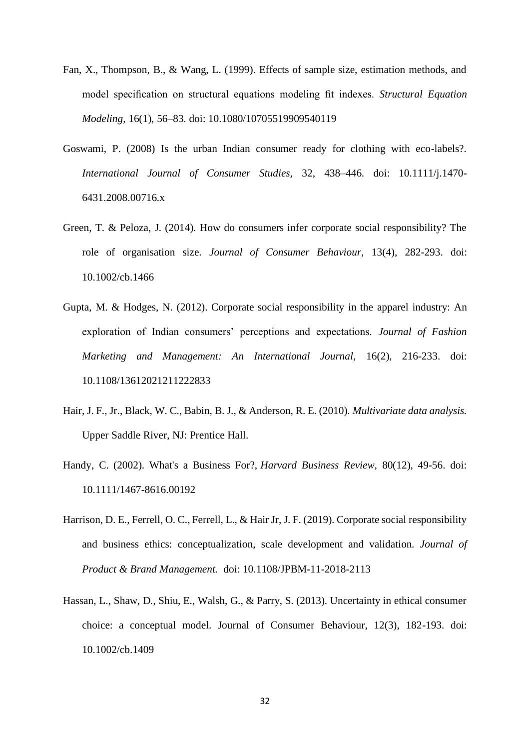- Fan, X., Thompson, B., & Wang, L. (1999). Effects of sample size, estimation methods, and model specification on structural equations modeling fit indexes. *Structural Equation Modeling,* 16(1), 56–83. doi: 10.1080/10705519909540119
- Goswami, P. (2008) Is the urban Indian consumer ready for clothing with eco-labels?. *International Journal of Consumer Studies,* 32, 438–446. doi: 10.1111/j.1470- 6431.2008.00716.x
- Green, T. & Peloza, J. (2014). How do consumers infer corporate social responsibility? The role of organisation size. *Journal of Consumer Behaviour,* 13(4), 282-293. doi: 10.1002/cb.1466
- Gupta, M. & Hodges, N. (2012). Corporate social responsibility in the apparel industry: An exploration of Indian consumers' perceptions and expectations. *Journal of Fashion Marketing and Management: An International Journal,* 16(2), 216-233. doi: 10.1108/13612021211222833
- Hair, J. F., Jr., Black, W. C., Babin, B. J., & Anderson, R. E. (2010). *Multivariate data analysis.* Upper Saddle River, NJ: Prentice Hall.
- Handy, C. (2002). What's a Business For?, *Harvard Business Review,* 80(12), 49-56. doi: 10.1111/1467-8616.00192
- Harrison, D. E., Ferrell, O. C., Ferrell, L., & Hair Jr, J. F. (2019). Corporate social responsibility and business ethics: conceptualization, scale development and validation. *Journal of Product & Brand Management.* doi: 10.1108/JPBM-11-2018-2113
- Hassan, L., Shaw, D., Shiu, E., Walsh, G., & Parry, S. (2013). Uncertainty in ethical consumer choice: a conceptual model. Journal of Consumer Behaviour, 12(3), 182-193. doi: 10.1002/cb.1409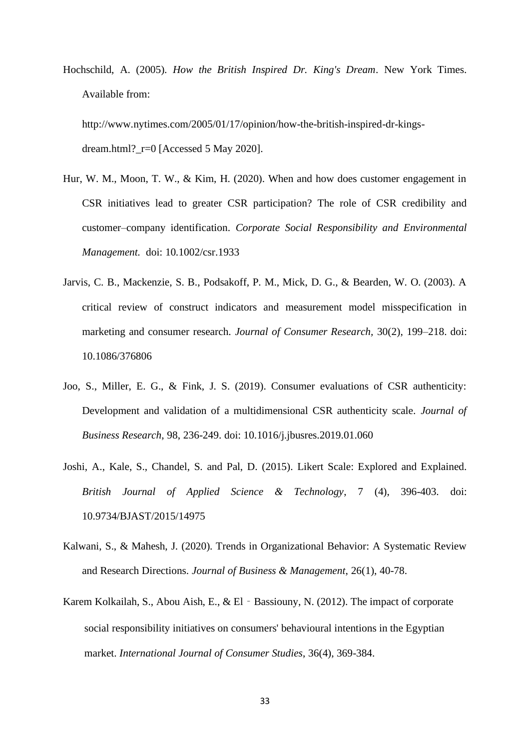Hochschild, A. (2005). *How the British Inspired Dr. King's Dream*. New York Times. Available from:

http://www.nytimes.com/2005/01/17/opinion/how-the-british-inspired-dr-kingsdream.html?\_r=0 [Accessed 5 May 2020].

- Hur, W. M., Moon, T. W., & Kim, H. (2020). When and how does customer engagement in CSR initiatives lead to greater CSR participation? The role of CSR credibility and customer–company identification. *Corporate Social Responsibility and Environmental Management.* doi: 10.1002/csr.1933
- Jarvis, C. B., Mackenzie, S. B., Podsakoff, P. M., Mick, D. G., & Bearden, W. O. (2003). A critical review of construct indicators and measurement model misspecification in marketing and consumer research. *Journal of Consumer Research,* 30(2), 199–218. doi: 10.1086/376806
- Joo, S., Miller, E. G., & Fink, J. S. (2019). Consumer evaluations of CSR authenticity: Development and validation of a multidimensional CSR authenticity scale. *Journal of Business Research*, 98, 236-249. doi: 10.1016/j.jbusres.2019.01.060
- Joshi, A., Kale, S., Chandel, S. and Pal, D. (2015). Likert Scale: Explored and Explained. *British Journal of Applied Science & Technology*, 7 (4), 396-403. doi: 10.9734/BJAST/2015/14975
- Kalwani, S., & Mahesh, J. (2020). Trends in Organizational Behavior: A Systematic Review and Research Directions. *Journal of Business & Management*, 26(1), 40-78.
- Karem Kolkailah, S., Abou Aish, E., & El Bassiouny, N. (2012). The impact of corporate social responsibility initiatives on consumers' behavioural intentions in the Egyptian market. *International Journal of Consumer Studies*, 36(4), 369-384.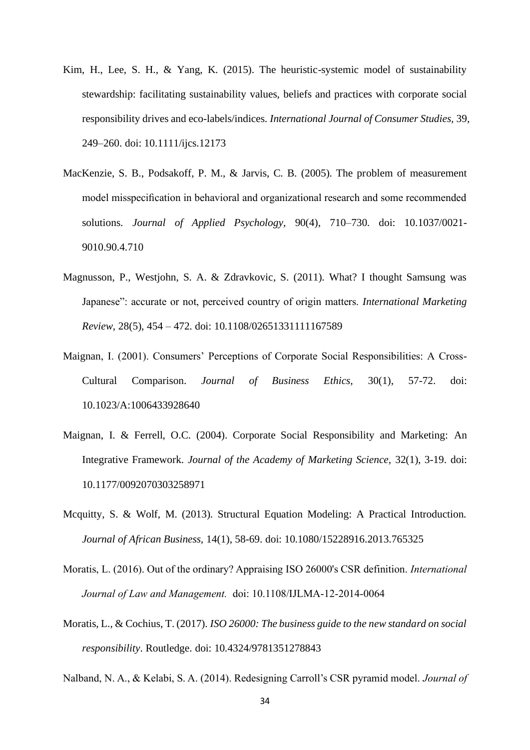- Kim, H., Lee, S. H., & Yang, K. (2015). The heuristic-systemic model of sustainability stewardship: facilitating sustainability values, beliefs and practices with corporate social responsibility drives and eco-labels/indices. *International Journal of Consumer Studies,* 39, 249–260. doi: 10.1111/ijcs.12173
- MacKenzie, S. B., Podsakoff, P. M., & Jarvis, C. B. (2005). The problem of measurement model misspecification in behavioral and organizational research and some recommended solutions. *Journal of Applied Psychology,* 90(4), 710–730. doi: 10.1037/0021- 9010.90.4.710
- Magnusson, P., Westjohn, S. A. & Zdravkovic, S. (2011). What? I thought Samsung was Japanese": accurate or not, perceived country of origin matters. *International Marketing Review,* 28(5), 454 – 472. doi: 10.1108/02651331111167589
- Maignan, I. (2001). Consumers' Perceptions of Corporate Social Responsibilities: A Cross-Cultural Comparison. *Journal of Business Ethics,* 30(1), 57-72. doi: 10.1023/A:1006433928640
- Maignan, I. & Ferrell, O.C. (2004). Corporate Social Responsibility and Marketing: An Integrative Framework. *Journal of the Academy of Marketing Science,* 32(1), 3-19. doi: 10.1177/0092070303258971
- Mcquitty, S. & Wolf, M. (2013). Structural Equation Modeling: A Practical Introduction. *Journal of African Business,* 14(1), 58-69. doi: 10.1080/15228916.2013.765325
- Moratis, L. (2016). Out of the ordinary? Appraising ISO 26000's CSR definition. *International Journal of Law and Management.* doi: 10.1108/IJLMA-12-2014-0064
- Moratis, L., & Cochius, T. (2017). *ISO 26000: The business guide to the new standard on social responsibility*. Routledge. doi: 10.4324/9781351278843

Nalband, N. A., & Kelabi, S. A. (2014). Redesigning Carroll's CSR pyramid model. *Journal of*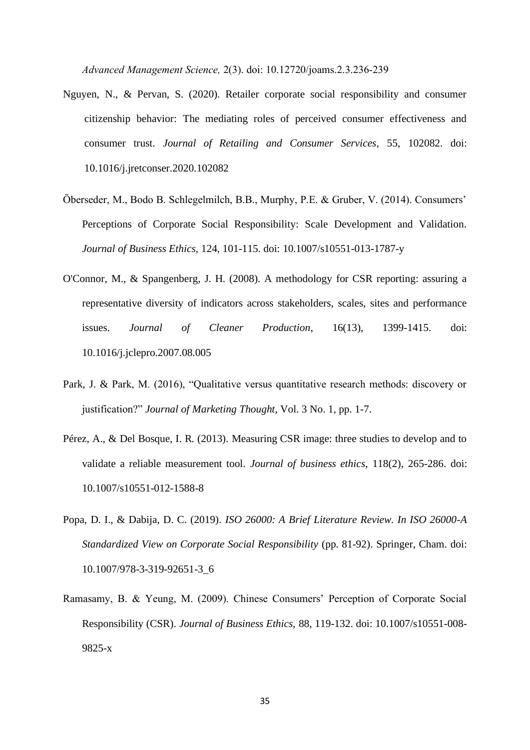*Advanced Management Science,* 2(3). doi: 10.12720/joams.2.3.236-239

- Nguyen, N., & Pervan, S. (2020). Retailer corporate social responsibility and consumer citizenship behavior: The mediating roles of perceived consumer effectiveness and consumer trust. *Journal of Retailing and Consumer Services*, 55, 102082. doi: 10.1016/j.jretconser.2020.102082
- Öberseder, M., Bodo B. Schlegelmilch, B.B., Murphy, P.E. & Gruber, V. (2014). Consumers' Perceptions of Corporate Social Responsibility: Scale Development and Validation. *Journal of Business Ethics,* 124, 101-115. doi: 10.1007/s10551-013-1787-y
- O'Connor, M., & Spangenberg, J. H. (2008). A methodology for CSR reporting: assuring a representative diversity of indicators across stakeholders, scales, sites and performance issues. *Journal of Cleaner Production*, 16(13), 1399-1415. doi: 10.1016/j.jclepro.2007.08.005
- Park, J. & Park, M. (2016), "Qualitative versus quantitative research methods: discovery or justification?" *Journal of Marketing Thought*, Vol. 3 No. 1, pp. 1-7.
- Pérez, A., & Del Bosque, I. R. (2013). Measuring CSR image: three studies to develop and to validate a reliable measurement tool. *Journal of business ethics*, 118(2), 265-286. doi: 10.1007/s10551-012-1588-8
- Popa, D. I., & Dabija, D. C. (2019). *ISO 26000: A Brief Literature Review. In ISO 26000-A Standardized View on Corporate Social Responsibility* (pp. 81-92). Springer, Cham. doi: 10.1007/978-3-319-92651-3\_6
- Ramasamy, B. & Yeung, M. (2009). Chinese Consumers' Perception of Corporate Social Responsibility (CSR). *Journal of Business Ethics,* 88, 119-132. doi: 10.1007/s10551-008- 9825-x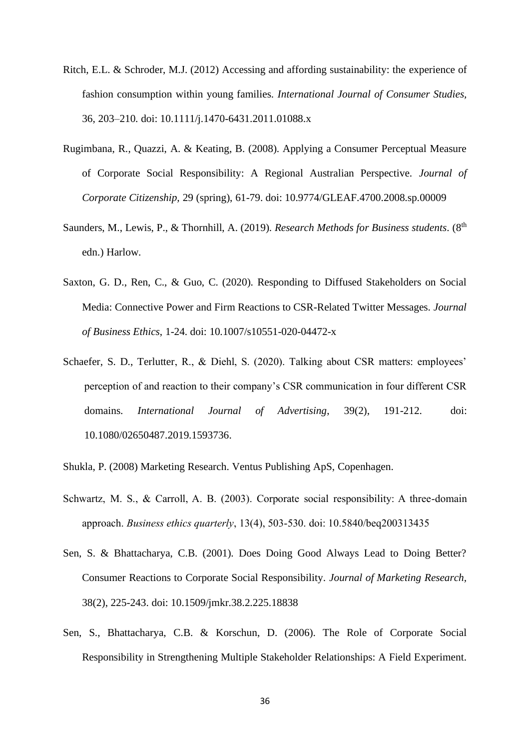- Ritch, E.L. & Schroder, M.J. (2012) Accessing and affording sustainability: the experience of fashion consumption within young families. *International Journal of Consumer Studies,*  36, 203–210. doi: 10.1111/j.1470-6431.2011.01088.x
- Rugimbana, R., Quazzi, A. & Keating, B. (2008). Applying a Consumer Perceptual Measure of Corporate Social Responsibility: A Regional Australian Perspective. *Journal of Corporate Citizenship,* 29 (spring), 61-79. doi: 10.9774/GLEAF.4700.2008.sp.00009
- Saunders, M., Lewis, P., & Thornhill, A. (2019). *Research Methods for Business students*. (8<sup>th</sup> edn.) Harlow.
- Saxton, G. D., Ren, C., & Guo, C. (2020). Responding to Diffused Stakeholders on Social Media: Connective Power and Firm Reactions to CSR-Related Twitter Messages. *Journal of Business Ethics*, 1-24. doi: 10.1007/s10551-020-04472-x
- Schaefer, S. D., Terlutter, R., & Diehl, S. (2020). Talking about CSR matters: employees' perception of and reaction to their company's CSR communication in four different CSR domains. *International Journal of Advertising*, 39(2), 191-212. doi: 10.1080/02650487.2019.1593736.
- Shukla, P. (2008) Marketing Research. Ventus Publishing ApS, Copenhagen.
- Schwartz, M. S., & Carroll, A. B. (2003). Corporate social responsibility: A three-domain approach. *Business ethics quarterly*, 13(4), 503-530. doi: 10.5840/beq200313435
- Sen, S. & Bhattacharya, C.B. (2001). Does Doing Good Always Lead to Doing Better? Consumer Reactions to Corporate Social Responsibility. *Journal of Marketing Research,*  38(2), 225-243. doi: 10.1509/jmkr.38.2.225.18838
- Sen, S., Bhattacharya, C.B. & Korschun, D. (2006). The Role of Corporate Social Responsibility in Strengthening Multiple Stakeholder Relationships: A Field Experiment.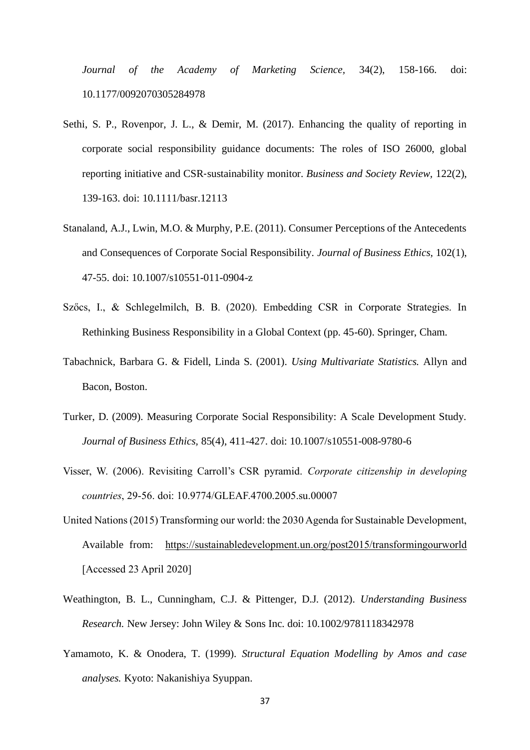*Journal of the Academy of Marketing Science,* 34(2), 158-166. doi: 10.1177/0092070305284978

- Sethi, S. P., Rovenpor, J. L., & Demir, M. (2017). Enhancing the quality of reporting in corporate social responsibility guidance documents: The roles of ISO 26000, global reporting initiative and CSR‐sustainability monitor. *Business and Society Review,* 122(2), 139-163. doi: 10.1111/basr.12113
- Stanaland, A.J., Lwin, M.O. & Murphy, P.E. (2011). Consumer Perceptions of the Antecedents and Consequences of Corporate Social Responsibility. *Journal of Business Ethics,* 102(1), 47-55. doi: 10.1007/s10551-011-0904-z
- Szőcs, I., & Schlegelmilch, B. B. (2020). Embedding CSR in Corporate Strategies. In Rethinking Business Responsibility in a Global Context (pp. 45-60). Springer, Cham.
- Tabachnick, Barbara G. & Fidell, Linda S. (2001). *Using Multivariate Statistics.* Allyn and Bacon, Boston.
- Turker, D. (2009). Measuring Corporate Social Responsibility: A Scale Development Study. *Journal of Business Ethics,* 85(4), 411-427. doi: 10.1007/s10551-008-9780-6
- Visser, W. (2006). Revisiting Carroll's CSR pyramid. *Corporate citizenship in developing countries*, 29-56. doi: 10.9774/GLEAF.4700.2005.su.00007
- United Nations (2015) Transforming our world: the 2030 Agenda for Sustainable Development, Available from: <https://sustainabledevelopment.un.org/post2015/transformingourworld> [Accessed 23 April 2020]
- Weathington, B. L., Cunningham, C.J. & Pittenger, D.J. (2012). *Understanding Business Research.* New Jersey: John Wiley & Sons Inc. doi: 10.1002/9781118342978
- Yamamoto, K. & Onodera, T. (1999). *Structural Equation Modelling by Amos and case analyses.* Kyoto: Nakanishiya Syuppan.